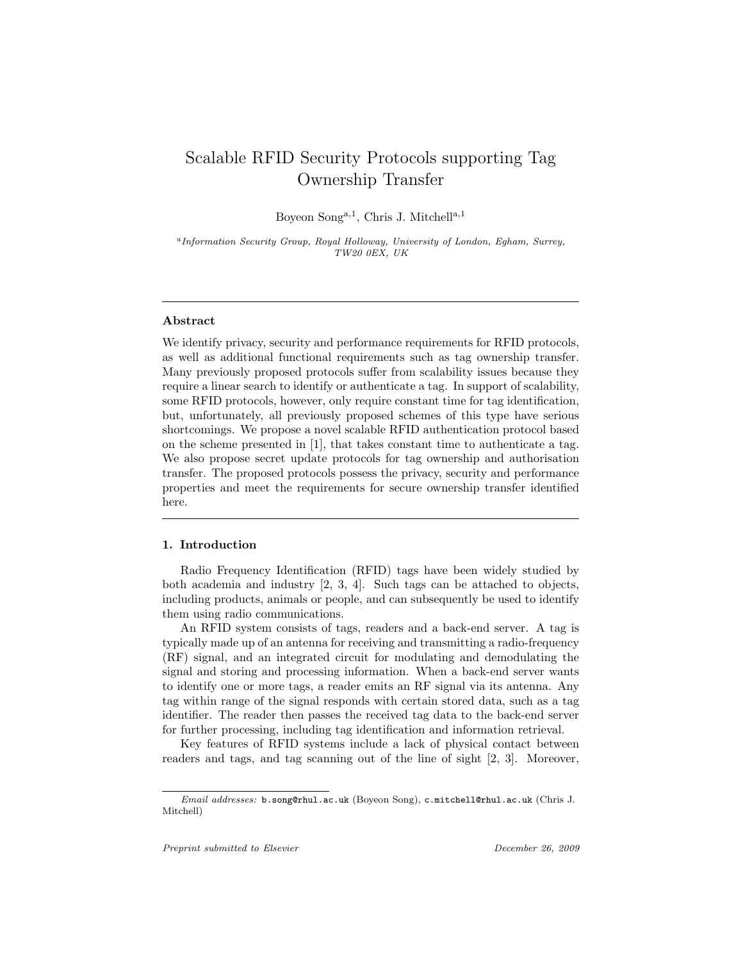# Scalable RFID Security Protocols supporting Tag Ownership Transfer

Boyeon Song<sup>a, 1</sup>, Chris J. Mitchell<sup>a, 1</sup>

<sup>a</sup>Information Security Group, Royal Holloway, University of London, Egham, Surrey, TW20 0EX, UK

#### Abstract

We identify privacy, security and performance requirements for RFID protocols, as well as additional functional requirements such as tag ownership transfer. Many previously proposed protocols suffer from scalability issues because they require a linear search to identify or authenticate a tag. In support of scalability, some RFID protocols, however, only require constant time for tag identification, but, unfortunately, all previously proposed schemes of this type have serious shortcomings. We propose a novel scalable RFID authentication protocol based on the scheme presented in [1], that takes constant time to authenticate a tag. We also propose secret update protocols for tag ownership and authorisation transfer. The proposed protocols possess the privacy, security and performance properties and meet the requirements for secure ownership transfer identified here.

## 1. Introduction

Radio Frequency Identification (RFID) tags have been widely studied by both academia and industry [2, 3, 4]. Such tags can be attached to objects, including products, animals or people, and can subsequently be used to identify them using radio communications.

An RFID system consists of tags, readers and a back-end server. A tag is typically made up of an antenna for receiving and transmitting a radio-frequency (RF) signal, and an integrated circuit for modulating and demodulating the signal and storing and processing information. When a back-end server wants to identify one or more tags, a reader emits an RF signal via its antenna. Any tag within range of the signal responds with certain stored data, such as a tag identifier. The reader then passes the received tag data to the back-end server for further processing, including tag identification and information retrieval.

Key features of RFID systems include a lack of physical contact between readers and tags, and tag scanning out of the line of sight [2, 3]. Moreover,

Email addresses: b.song@rhul.ac.uk (Boyeon Song), c.mitchell@rhul.ac.uk (Chris J. Mitchell)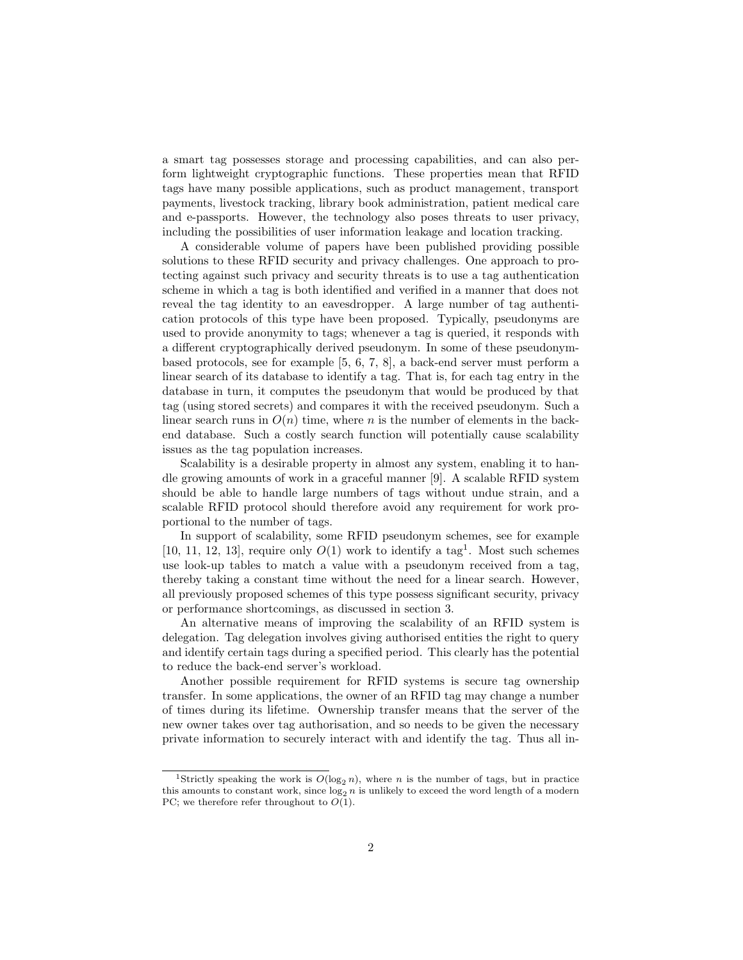a smart tag possesses storage and processing capabilities, and can also perform lightweight cryptographic functions. These properties mean that RFID tags have many possible applications, such as product management, transport payments, livestock tracking, library book administration, patient medical care and e-passports. However, the technology also poses threats to user privacy, including the possibilities of user information leakage and location tracking.

A considerable volume of papers have been published providing possible solutions to these RFID security and privacy challenges. One approach to protecting against such privacy and security threats is to use a tag authentication scheme in which a tag is both identified and verified in a manner that does not reveal the tag identity to an eavesdropper. A large number of tag authentication protocols of this type have been proposed. Typically, pseudonyms are used to provide anonymity to tags; whenever a tag is queried, it responds with a different cryptographically derived pseudonym. In some of these pseudonymbased protocols, see for example [5, 6, 7, 8], a back-end server must perform a linear search of its database to identify a tag. That is, for each tag entry in the database in turn, it computes the pseudonym that would be produced by that tag (using stored secrets) and compares it with the received pseudonym. Such a linear search runs in  $O(n)$  time, where n is the number of elements in the backend database. Such a costly search function will potentially cause scalability issues as the tag population increases.

Scalability is a desirable property in almost any system, enabling it to handle growing amounts of work in a graceful manner [9]. A scalable RFID system should be able to handle large numbers of tags without undue strain, and a scalable RFID protocol should therefore avoid any requirement for work proportional to the number of tags.

In support of scalability, some RFID pseudonym schemes, see for example [10, 11, 12, 13], require only  $O(1)$  work to identify a tag<sup>1</sup>. Most such schemes use look-up tables to match a value with a pseudonym received from a tag, thereby taking a constant time without the need for a linear search. However, all previously proposed schemes of this type possess significant security, privacy or performance shortcomings, as discussed in section 3.

An alternative means of improving the scalability of an RFID system is delegation. Tag delegation involves giving authorised entities the right to query and identify certain tags during a specified period. This clearly has the potential to reduce the back-end server's workload.

Another possible requirement for RFID systems is secure tag ownership transfer. In some applications, the owner of an RFID tag may change a number of times during its lifetime. Ownership transfer means that the server of the new owner takes over tag authorisation, and so needs to be given the necessary private information to securely interact with and identify the tag. Thus all in-

<sup>&</sup>lt;sup>1</sup>Strictly speaking the work is  $O(\log_2 n)$ , where *n* is the number of tags, but in practice this amounts to constant work, since  $\log_2 n$  is unlikely to exceed the word length of a modern PC; we therefore refer throughout to  $O(1)$ .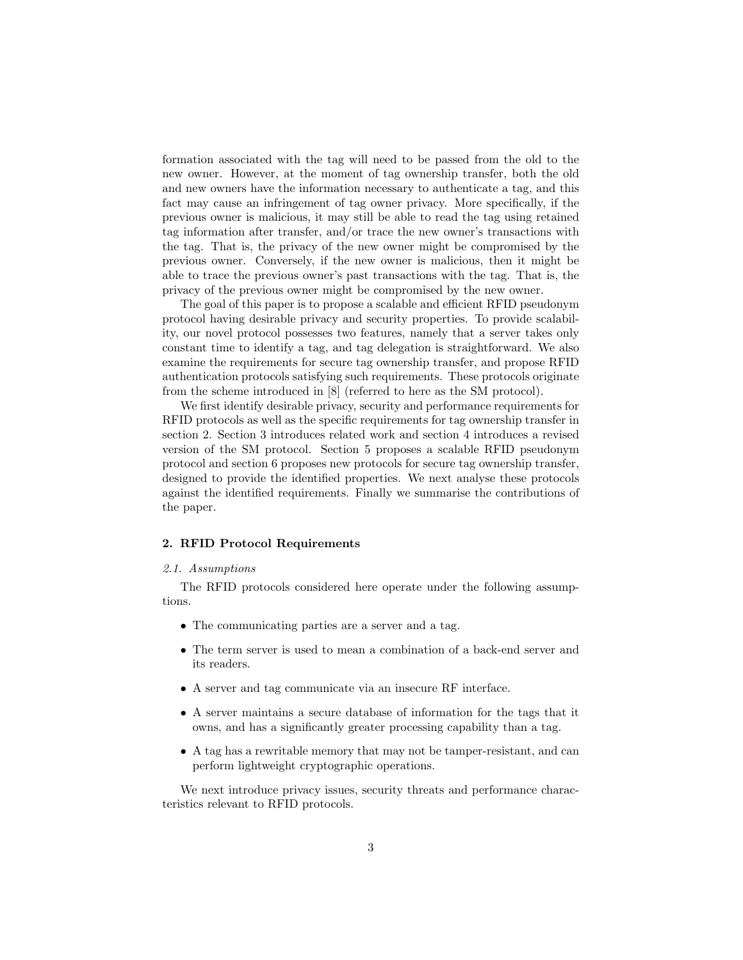formation associated with the tag will need to be passed from the old to the new owner. However, at the moment of tag ownership transfer, both the old and new owners have the information necessary to authenticate a tag, and this fact may cause an infringement of tag owner privacy. More specifically, if the previous owner is malicious, it may still be able to read the tag using retained tag information after transfer, and/or trace the new owner's transactions with the tag. That is, the privacy of the new owner might be compromised by the previous owner. Conversely, if the new owner is malicious, then it might be able to trace the previous owner's past transactions with the tag. That is, the privacy of the previous owner might be compromised by the new owner.

The goal of this paper is to propose a scalable and efficient RFID pseudonym protocol having desirable privacy and security properties. To provide scalability, our novel protocol possesses two features, namely that a server takes only constant time to identify a tag, and tag delegation is straightforward. We also examine the requirements for secure tag ownership transfer, and propose RFID authentication protocols satisfying such requirements. These protocols originate from the scheme introduced in [8] (referred to here as the SM protocol).

We first identify desirable privacy, security and performance requirements for RFID protocols as well as the specific requirements for tag ownership transfer in section 2. Section 3 introduces related work and section 4 introduces a revised version of the SM protocol. Section 5 proposes a scalable RFID pseudonym protocol and section 6 proposes new protocols for secure tag ownership transfer, designed to provide the identified properties. We next analyse these protocols against the identified requirements. Finally we summarise the contributions of the paper.

#### 2. RFID Protocol Requirements

#### 2.1. Assumptions

The RFID protocols considered here operate under the following assumptions.

- The communicating parties are a server and a tag.
- The term server is used to mean a combination of a back-end server and its readers.
- A server and tag communicate via an insecure RF interface.
- A server maintains a secure database of information for the tags that it owns, and has a significantly greater processing capability than a tag.
- A tag has a rewritable memory that may not be tamper-resistant, and can perform lightweight cryptographic operations.

We next introduce privacy issues, security threats and performance characteristics relevant to RFID protocols.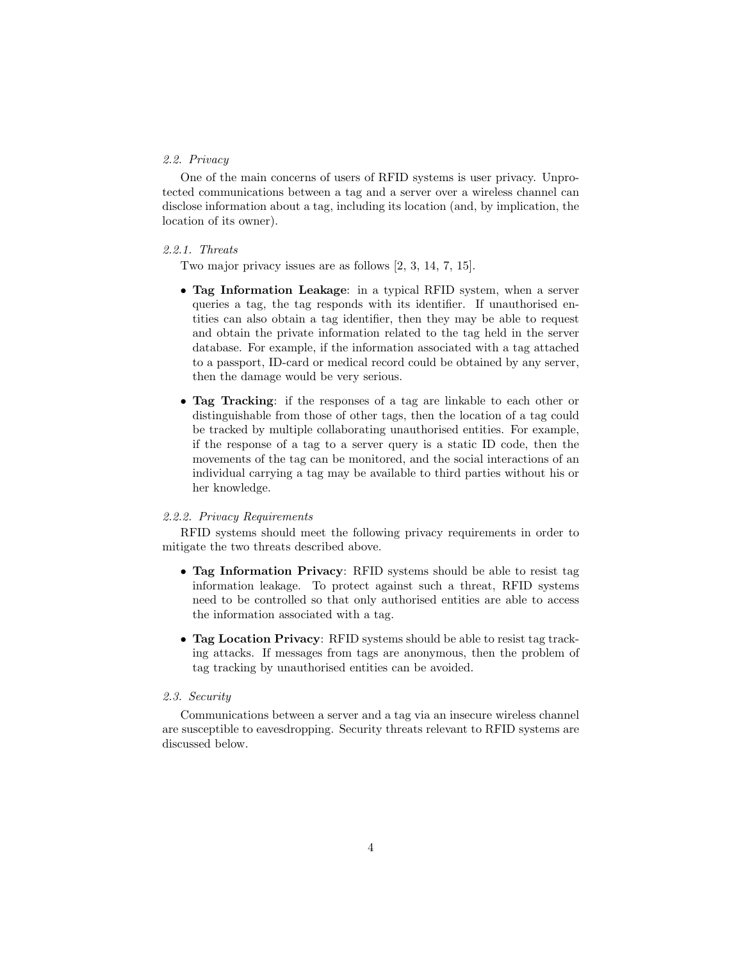# 2.2. Privacy

One of the main concerns of users of RFID systems is user privacy. Unprotected communications between a tag and a server over a wireless channel can disclose information about a tag, including its location (and, by implication, the location of its owner).

## 2.2.1. Threats

Two major privacy issues are as follows [2, 3, 14, 7, 15].

- Tag Information Leakage: in a typical RFID system, when a server queries a tag, the tag responds with its identifier. If unauthorised entities can also obtain a tag identifier, then they may be able to request and obtain the private information related to the tag held in the server database. For example, if the information associated with a tag attached to a passport, ID-card or medical record could be obtained by any server, then the damage would be very serious.
- Tag Tracking: if the responses of a tag are linkable to each other or distinguishable from those of other tags, then the location of a tag could be tracked by multiple collaborating unauthorised entities. For example, if the response of a tag to a server query is a static ID code, then the movements of the tag can be monitored, and the social interactions of an individual carrying a tag may be available to third parties without his or her knowledge.

#### 2.2.2. Privacy Requirements

RFID systems should meet the following privacy requirements in order to mitigate the two threats described above.

- Tag Information Privacy: RFID systems should be able to resist tag information leakage. To protect against such a threat, RFID systems need to be controlled so that only authorised entities are able to access the information associated with a tag.
- Tag Location Privacy: RFID systems should be able to resist tag tracking attacks. If messages from tags are anonymous, then the problem of tag tracking by unauthorised entities can be avoided.

#### 2.3. Security

Communications between a server and a tag via an insecure wireless channel are susceptible to eavesdropping. Security threats relevant to RFID systems are discussed below.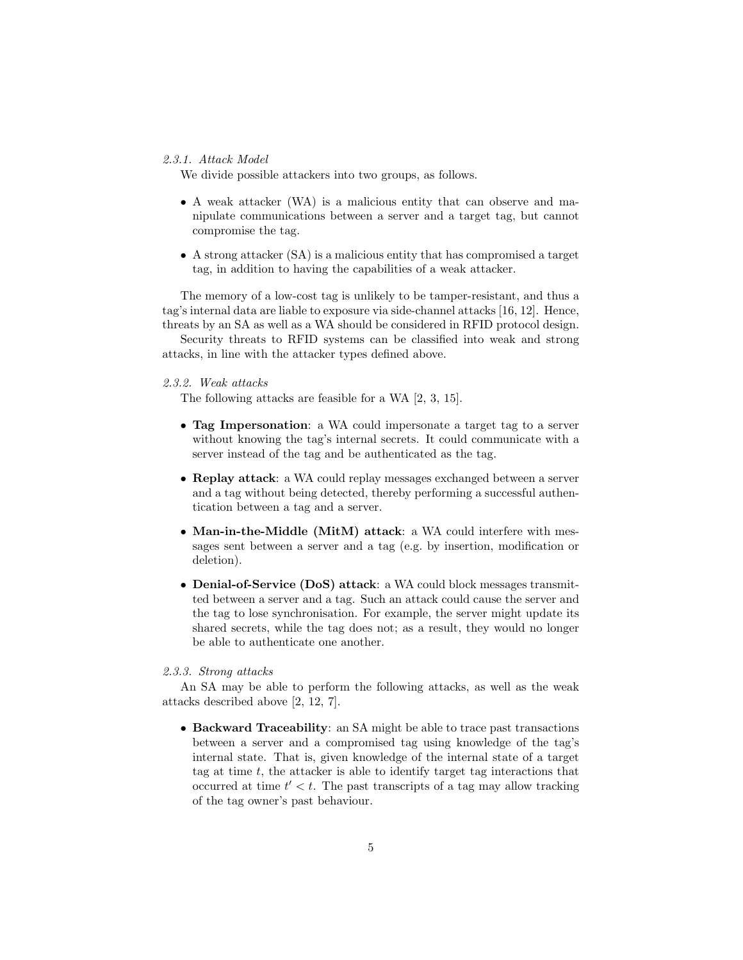#### 2.3.1. Attack Model

We divide possible attackers into two groups, as follows.

- A weak attacker (WA) is a malicious entity that can observe and manipulate communications between a server and a target tag, but cannot compromise the tag.
- A strong attacker (SA) is a malicious entity that has compromised a target tag, in addition to having the capabilities of a weak attacker.

The memory of a low-cost tag is unlikely to be tamper-resistant, and thus a tag's internal data are liable to exposure via side-channel attacks [16, 12]. Hence, threats by an SA as well as a WA should be considered in RFID protocol design.

Security threats to RFID systems can be classified into weak and strong attacks, in line with the attacker types defined above.

## 2.3.2. Weak attacks

The following attacks are feasible for a WA [2, 3, 15].

- Tag Impersonation: a WA could impersonate a target tag to a server without knowing the tag's internal secrets. It could communicate with a server instead of the tag and be authenticated as the tag.
- Replay attack: a WA could replay messages exchanged between a server and a tag without being detected, thereby performing a successful authentication between a tag and a server.
- Man-in-the-Middle (MitM) attack: a WA could interfere with messages sent between a server and a tag (e.g. by insertion, modification or deletion).
- Denial-of-Service (DoS) attack: a WA could block messages transmitted between a server and a tag. Such an attack could cause the server and the tag to lose synchronisation. For example, the server might update its shared secrets, while the tag does not; as a result, they would no longer be able to authenticate one another.

#### 2.3.3. Strong attacks

An SA may be able to perform the following attacks, as well as the weak attacks described above [2, 12, 7].

• Backward Traceability: an SA might be able to trace past transactions between a server and a compromised tag using knowledge of the tag's internal state. That is, given knowledge of the internal state of a target tag at time  $t$ , the attacker is able to identify target tag interactions that occurred at time  $t' < t$ . The past transcripts of a tag may allow tracking of the tag owner's past behaviour.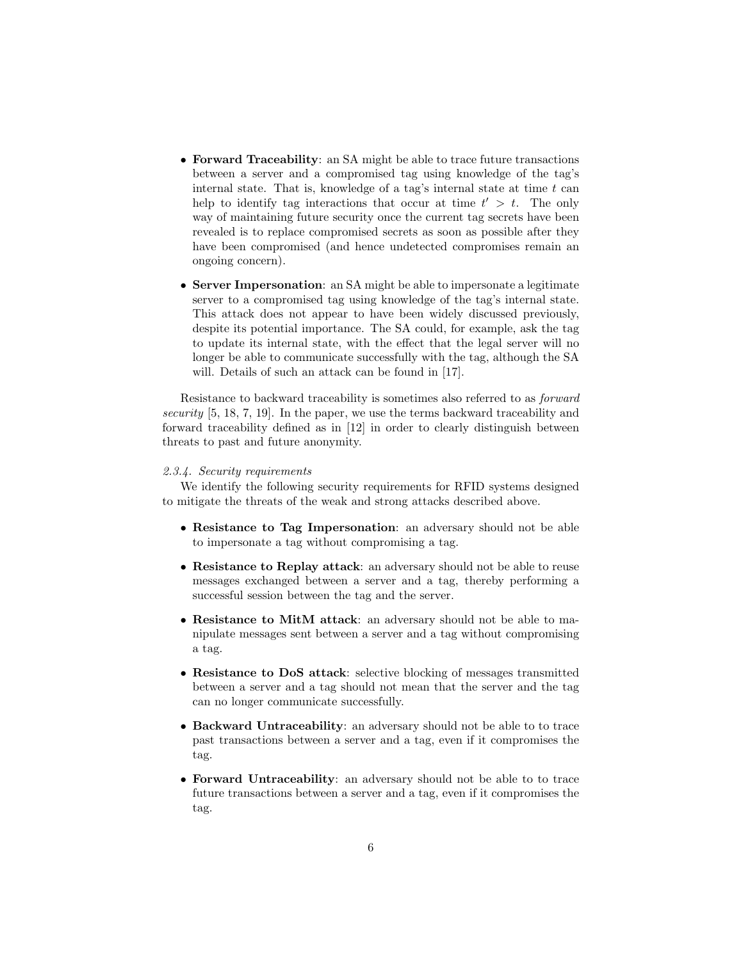- Forward Traceability: an SA might be able to trace future transactions between a server and a compromised tag using knowledge of the tag's internal state. That is, knowledge of a tag's internal state at time  $t$  can help to identify tag interactions that occur at time  $t' > t$ . The only way of maintaining future security once the current tag secrets have been revealed is to replace compromised secrets as soon as possible after they have been compromised (and hence undetected compromises remain an ongoing concern).
- Server Impersonation: an SA might be able to impersonate a legitimate server to a compromised tag using knowledge of the tag's internal state. This attack does not appear to have been widely discussed previously, despite its potential importance. The SA could, for example, ask the tag to update its internal state, with the effect that the legal server will no longer be able to communicate successfully with the tag, although the SA will. Details of such an attack can be found in [17].

Resistance to backward traceability is sometimes also referred to as forward security [5, 18, 7, 19]. In the paper, we use the terms backward traceability and forward traceability defined as in [12] in order to clearly distinguish between threats to past and future anonymity.

#### 2.3.4. Security requirements

We identify the following security requirements for RFID systems designed to mitigate the threats of the weak and strong attacks described above.

- Resistance to Tag Impersonation: an adversary should not be able to impersonate a tag without compromising a tag.
- Resistance to Replay attack: an adversary should not be able to reuse messages exchanged between a server and a tag, thereby performing a successful session between the tag and the server.
- Resistance to MitM attack: an adversary should not be able to manipulate messages sent between a server and a tag without compromising a tag.
- Resistance to DoS attack: selective blocking of messages transmitted between a server and a tag should not mean that the server and the tag can no longer communicate successfully.
- Backward Untraceability: an adversary should not be able to to trace past transactions between a server and a tag, even if it compromises the tag.
- Forward Untraceability: an adversary should not be able to to trace future transactions between a server and a tag, even if it compromises the tag.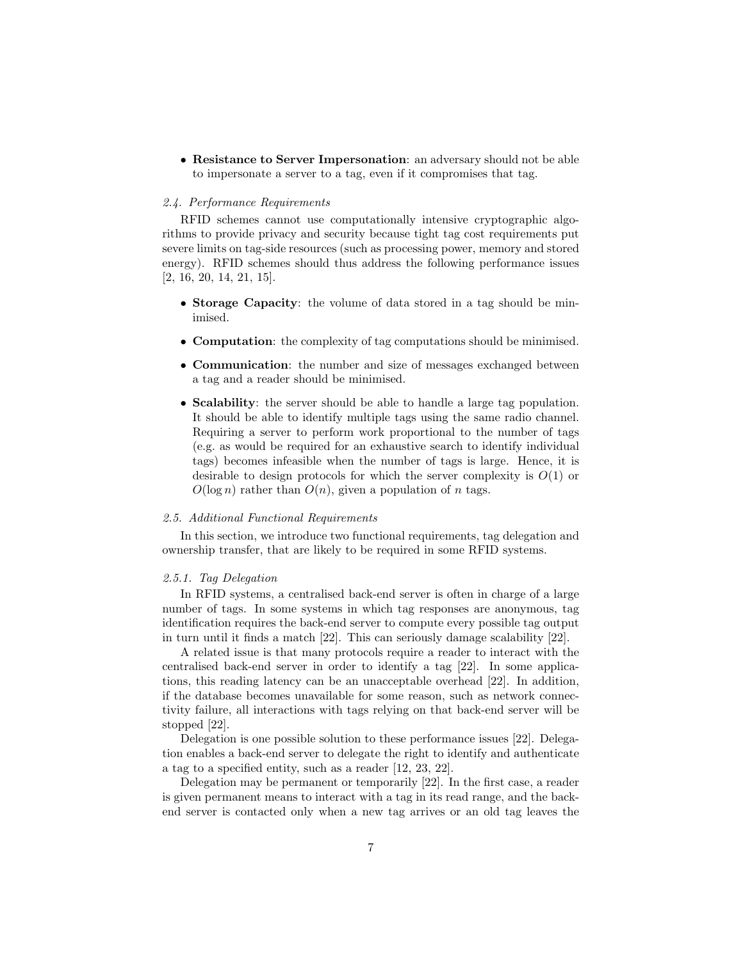• Resistance to Server Impersonation: an adversary should not be able to impersonate a server to a tag, even if it compromises that tag.

## 2.4. Performance Requirements

RFID schemes cannot use computationally intensive cryptographic algorithms to provide privacy and security because tight tag cost requirements put severe limits on tag-side resources (such as processing power, memory and stored energy). RFID schemes should thus address the following performance issues [2, 16, 20, 14, 21, 15].

- Storage Capacity: the volume of data stored in a tag should be minimised.
- Computation: the complexity of tag computations should be minimised.
- **Communication**: the number and size of messages exchanged between a tag and a reader should be minimised.
- Scalability: the server should be able to handle a large tag population. It should be able to identify multiple tags using the same radio channel. Requiring a server to perform work proportional to the number of tags (e.g. as would be required for an exhaustive search to identify individual tags) becomes infeasible when the number of tags is large. Hence, it is desirable to design protocols for which the server complexity is  $O(1)$  or  $O(\log n)$  rather than  $O(n)$ , given a population of n tags.

#### 2.5. Additional Functional Requirements

In this section, we introduce two functional requirements, tag delegation and ownership transfer, that are likely to be required in some RFID systems.

#### 2.5.1. Tag Delegation

In RFID systems, a centralised back-end server is often in charge of a large number of tags. In some systems in which tag responses are anonymous, tag identification requires the back-end server to compute every possible tag output in turn until it finds a match [22]. This can seriously damage scalability [22].

A related issue is that many protocols require a reader to interact with the centralised back-end server in order to identify a tag [22]. In some applications, this reading latency can be an unacceptable overhead [22]. In addition, if the database becomes unavailable for some reason, such as network connectivity failure, all interactions with tags relying on that back-end server will be stopped [22].

Delegation is one possible solution to these performance issues [22]. Delegation enables a back-end server to delegate the right to identify and authenticate a tag to a specified entity, such as a reader [12, 23, 22].

Delegation may be permanent or temporarily [22]. In the first case, a reader is given permanent means to interact with a tag in its read range, and the backend server is contacted only when a new tag arrives or an old tag leaves the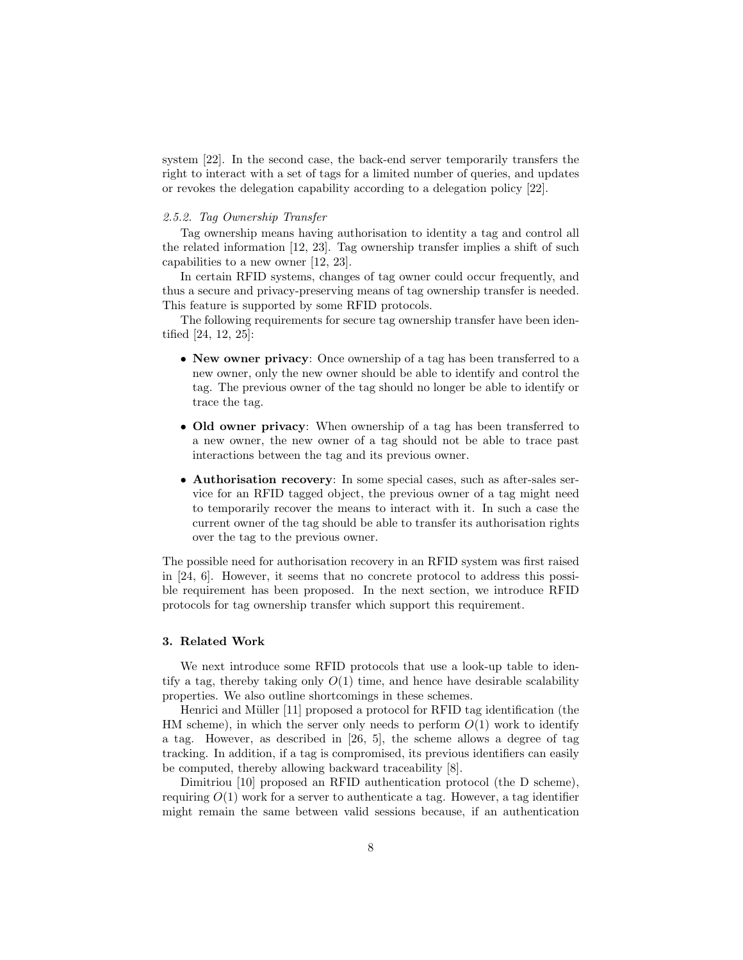system [22]. In the second case, the back-end server temporarily transfers the right to interact with a set of tags for a limited number of queries, and updates or revokes the delegation capability according to a delegation policy [22].

#### 2.5.2. Tag Ownership Transfer

Tag ownership means having authorisation to identity a tag and control all the related information [12, 23]. Tag ownership transfer implies a shift of such capabilities to a new owner [12, 23].

In certain RFID systems, changes of tag owner could occur frequently, and thus a secure and privacy-preserving means of tag ownership transfer is needed. This feature is supported by some RFID protocols.

The following requirements for secure tag ownership transfer have been identified [24, 12, 25]:

- New owner privacy: Once ownership of a tag has been transferred to a new owner, only the new owner should be able to identify and control the tag. The previous owner of the tag should no longer be able to identify or trace the tag.
- Old owner privacy: When ownership of a tag has been transferred to a new owner, the new owner of a tag should not be able to trace past interactions between the tag and its previous owner.
- Authorisation recovery: In some special cases, such as after-sales service for an RFID tagged object, the previous owner of a tag might need to temporarily recover the means to interact with it. In such a case the current owner of the tag should be able to transfer its authorisation rights over the tag to the previous owner.

The possible need for authorisation recovery in an RFID system was first raised in [24, 6]. However, it seems that no concrete protocol to address this possible requirement has been proposed. In the next section, we introduce RFID protocols for tag ownership transfer which support this requirement.

#### 3. Related Work

We next introduce some RFID protocols that use a look-up table to identify a tag, thereby taking only  $O(1)$  time, and hence have desirable scalability properties. We also outline shortcomings in these schemes.

Henrici and Müller [11] proposed a protocol for RFID tag identification (the HM scheme), in which the server only needs to perform  $O(1)$  work to identify a tag. However, as described in [26, 5], the scheme allows a degree of tag tracking. In addition, if a tag is compromised, its previous identifiers can easily be computed, thereby allowing backward traceability [8].

Dimitriou [10] proposed an RFID authentication protocol (the D scheme), requiring  $O(1)$  work for a server to authenticate a tag. However, a tag identifier might remain the same between valid sessions because, if an authentication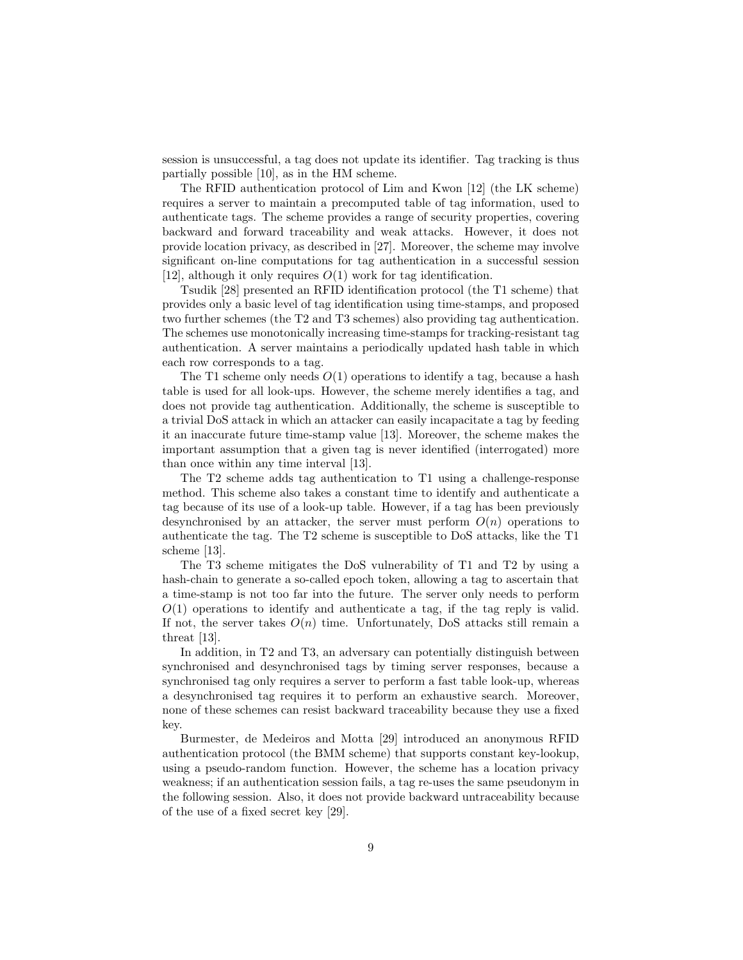session is unsuccessful, a tag does not update its identifier. Tag tracking is thus partially possible [10], as in the HM scheme.

The RFID authentication protocol of Lim and Kwon [12] (the LK scheme) requires a server to maintain a precomputed table of tag information, used to authenticate tags. The scheme provides a range of security properties, covering backward and forward traceability and weak attacks. However, it does not provide location privacy, as described in [27]. Moreover, the scheme may involve significant on-line computations for tag authentication in a successful session [12], although it only requires  $O(1)$  work for tag identification.

Tsudik [28] presented an RFID identification protocol (the T1 scheme) that provides only a basic level of tag identification using time-stamps, and proposed two further schemes (the T2 and T3 schemes) also providing tag authentication. The schemes use monotonically increasing time-stamps for tracking-resistant tag authentication. A server maintains a periodically updated hash table in which each row corresponds to a tag.

The T1 scheme only needs  $O(1)$  operations to identify a tag, because a hash table is used for all look-ups. However, the scheme merely identifies a tag, and does not provide tag authentication. Additionally, the scheme is susceptible to a trivial DoS attack in which an attacker can easily incapacitate a tag by feeding it an inaccurate future time-stamp value [13]. Moreover, the scheme makes the important assumption that a given tag is never identified (interrogated) more than once within any time interval [13].

The T2 scheme adds tag authentication to T1 using a challenge-response method. This scheme also takes a constant time to identify and authenticate a tag because of its use of a look-up table. However, if a tag has been previously desynchronised by an attacker, the server must perform  $O(n)$  operations to authenticate the tag. The T2 scheme is susceptible to DoS attacks, like the T1 scheme [13].

The T3 scheme mitigates the DoS vulnerability of T1 and T2 by using a hash-chain to generate a so-called epoch token, allowing a tag to ascertain that a time-stamp is not too far into the future. The server only needs to perform  $O(1)$  operations to identify and authenticate a tag, if the tag reply is valid. If not, the server takes  $O(n)$  time. Unfortunately, DoS attacks still remain a threat [13].

In addition, in T2 and T3, an adversary can potentially distinguish between synchronised and desynchronised tags by timing server responses, because a synchronised tag only requires a server to perform a fast table look-up, whereas a desynchronised tag requires it to perform an exhaustive search. Moreover, none of these schemes can resist backward traceability because they use a fixed key.

Burmester, de Medeiros and Motta [29] introduced an anonymous RFID authentication protocol (the BMM scheme) that supports constant key-lookup, using a pseudo-random function. However, the scheme has a location privacy weakness; if an authentication session fails, a tag re-uses the same pseudonym in the following session. Also, it does not provide backward untraceability because of the use of a fixed secret key [29].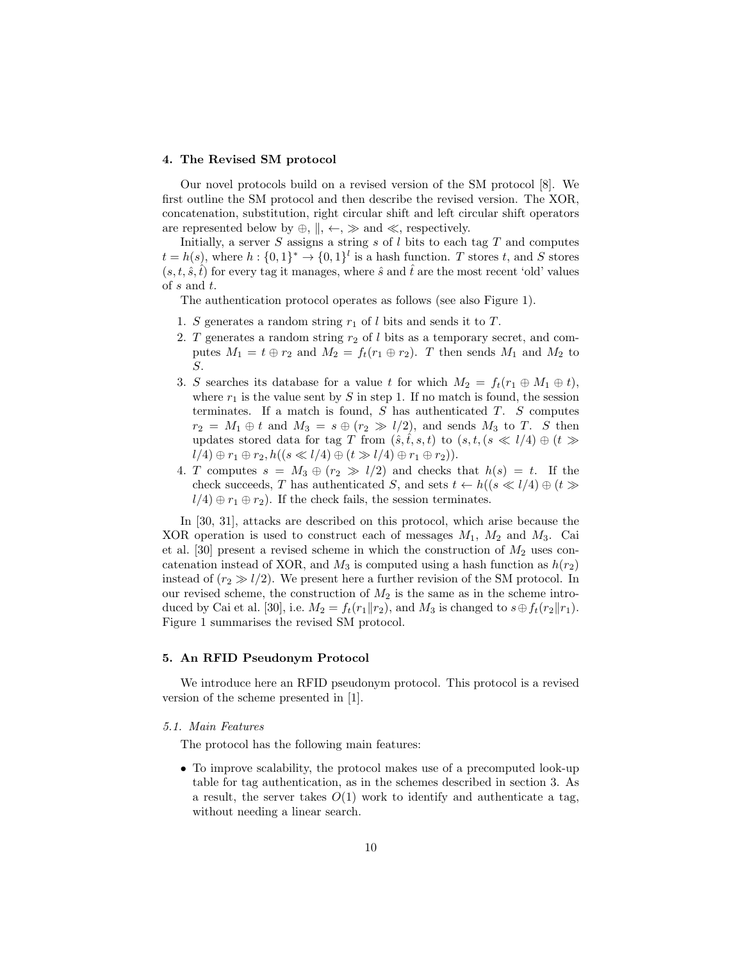## 4. The Revised SM protocol

Our novel protocols build on a revised version of the SM protocol [8]. We first outline the SM protocol and then describe the revised version. The XOR, concatenation, substitution, right circular shift and left circular shift operators are represented below by  $\oplus$ ,  $\parallel$ ,  $\leftarrow$ ,  $\gg$  and  $\ll$ , respectively.

Initially, a server S assigns a string s of l bits to each tag  $T$  and computes  $t = h(s)$ , where  $h : \{0,1\}^* \to \{0,1\}^l$  is a hash function. T stores t, and S stores  $(s, t, \hat{s}, \hat{t})$  for every tag it manages, where  $\hat{s}$  and  $\hat{t}$  are the most recent 'old' values of s and t.

The authentication protocol operates as follows (see also Figure 1).

- 1. S generates a random string  $r_1$  of l bits and sends it to T.
- 2. T generates a random string  $r_2$  of l bits as a temporary secret, and computes  $M_1 = t \oplus r_2$  and  $M_2 = f_t(r_1 \oplus r_2)$ . T then sends  $M_1$  and  $M_2$  to S.
- 3. S searches its database for a value t for which  $M_2 = f_t(r_1 \oplus M_1 \oplus t),$ where  $r_1$  is the value sent by S in step 1. If no match is found, the session terminates. If a match is found,  $S$  has authenticated  $T$ .  $S$  computes  $r_2 = M_1 \oplus t$  and  $M_3 = s \oplus (r_2 \gg l/2)$ , and sends  $M_3$  to T. S then updates stored data for tag T from  $(\hat{s}, \hat{t}, s, t)$  to  $(s, t, (s \ll l/4) \oplus (t \gg l/4))$  $l/4) \oplus r_1 \oplus r_2, h((s \ll l/4) \oplus (t \gg l/4) \oplus r_1 \oplus r_2)).$
- 4. T computes  $s = M_3 \oplus (r_2 \gg l/2)$  and checks that  $h(s) = t$ . If the check succeeds, T has authenticated S, and sets  $t \leftarrow h((s \ll l/4) \oplus (t \gg l/4))$  $l/4 \oplus r_1 \oplus r_2$ . If the check fails, the session terminates.

In [30, 31], attacks are described on this protocol, which arise because the XOR operation is used to construct each of messages  $M_1$ ,  $M_2$  and  $M_3$ . Cai et al. [30] present a revised scheme in which the construction of  $M_2$  uses concatenation instead of XOR, and  $M_3$  is computed using a hash function as  $h(r_2)$ instead of  $(r_2 \gg l/2)$ . We present here a further revision of the SM protocol. In our revised scheme, the construction of  $M_2$  is the same as in the scheme introduced by Cai et al. [30], i.e.  $M_2 = f_t(r_1||r_2)$ , and  $M_3$  is changed to  $s \oplus f_t(r_2||r_1)$ . Figure 1 summarises the revised SM protocol.

### 5. An RFID Pseudonym Protocol

We introduce here an RFID pseudonym protocol. This protocol is a revised version of the scheme presented in [1].

#### 5.1. Main Features

The protocol has the following main features:

• To improve scalability, the protocol makes use of a precomputed look-up table for tag authentication, as in the schemes described in section 3. As a result, the server takes  $O(1)$  work to identify and authenticate a tag, without needing a linear search.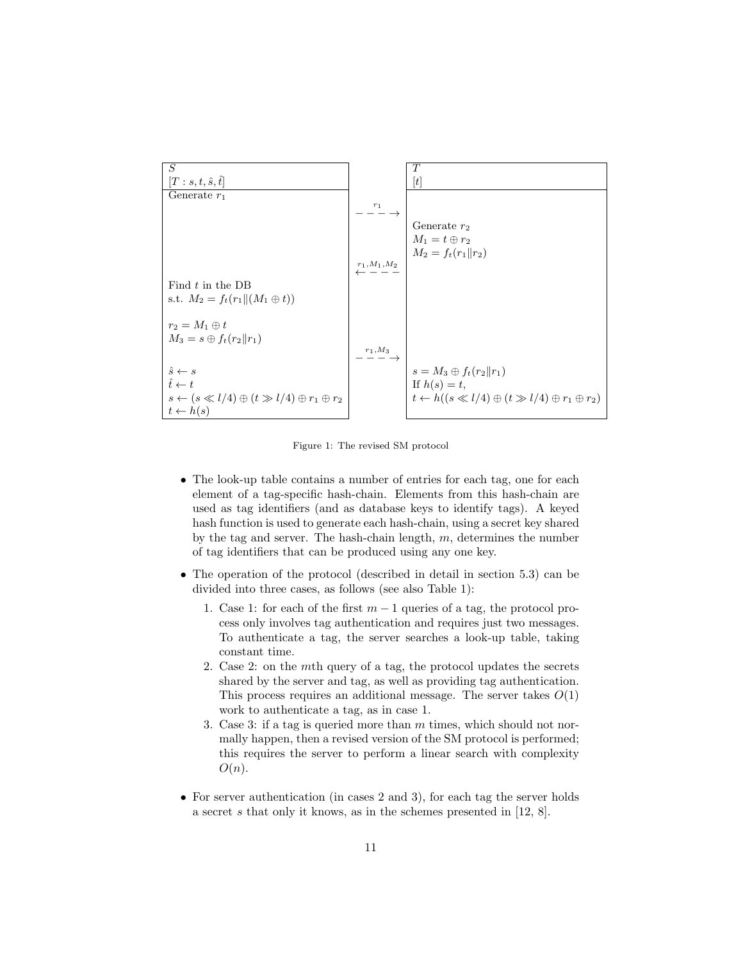

Figure 1: The revised SM protocol

- The look-up table contains a number of entries for each tag, one for each element of a tag-specific hash-chain. Elements from this hash-chain are used as tag identifiers (and as database keys to identify tags). A keyed hash function is used to generate each hash-chain, using a secret key shared by the tag and server. The hash-chain length,  $m$ , determines the number of tag identifiers that can be produced using any one key.
- The operation of the protocol (described in detail in section 5.3) can be divided into three cases, as follows (see also Table 1):
	- 1. Case 1: for each of the first  $m-1$  queries of a tag, the protocol process only involves tag authentication and requires just two messages. To authenticate a tag, the server searches a look-up table, taking constant time.
	- 2. Case 2: on the mth query of a tag, the protocol updates the secrets shared by the server and tag, as well as providing tag authentication. This process requires an additional message. The server takes  $O(1)$ work to authenticate a tag, as in case 1.
	- 3. Case 3: if a tag is queried more than  $m$  times, which should not normally happen, then a revised version of the SM protocol is performed; this requires the server to perform a linear search with complexity  $O(n)$ .
- For server authentication (in cases 2 and 3), for each tag the server holds a secret s that only it knows, as in the schemes presented in [12, 8].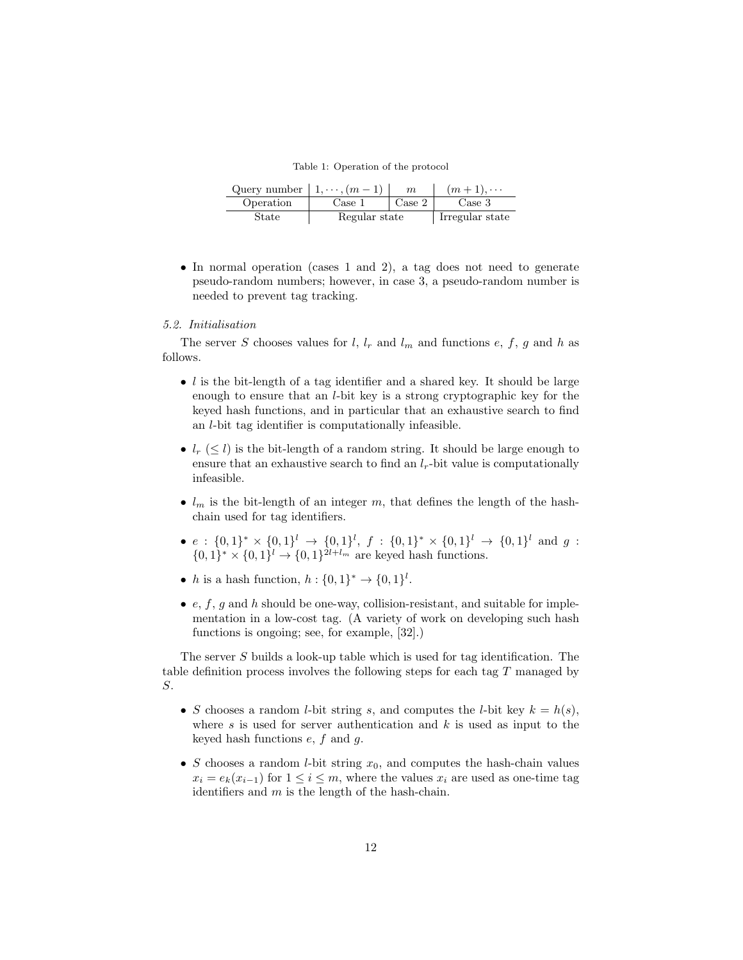Table 1: Operation of the protocol

|           | Query number $\vert 1, \cdots, (m-1) \vert$ | m             | $(m+1), \cdots$ |
|-----------|---------------------------------------------|---------------|-----------------|
| Operation | Case 1                                      | $\Box$ Case 2 | Case 3          |
| State     | Regular state                               |               | Irregular state |

• In normal operation (cases 1 and 2), a tag does not need to generate pseudo-random numbers; however, in case 3, a pseudo-random number is needed to prevent tag tracking.

## 5.2. Initialisation

The server S chooses values for l,  $l_r$  and  $l_m$  and functions e, f, g and h as follows.

- $\bullet$  l is the bit-length of a tag identifier and a shared key. It should be large enough to ensure that an l-bit key is a strong cryptographic key for the keyed hash functions, and in particular that an exhaustive search to find an l-bit tag identifier is computationally infeasible.
- $l_r \leq l$  is the bit-length of a random string. It should be large enough to ensure that an exhaustive search to find an  $l_r$ -bit value is computationally infeasible.
- $l_m$  is the bit-length of an integer m, that defines the length of the hashchain used for tag identifiers.
- $e: \{0,1\}^* \times \{0,1\}^l \rightarrow \{0,1\}^l$ ,  $f: \{0,1\}^* \times \{0,1\}^l \rightarrow \{0,1\}^l$  and  $g:$  $\{0,1\}^* \times \{0,1\}^l \rightarrow \{0,1\}^{2l+l_m}$  are keyed hash functions.
- *h* is a hash function,  $h: \{0,1\}^* \to \{0,1\}^l$ .
- $e, f, g$  and h should be one-way, collision-resistant, and suitable for implementation in a low-cost tag. (A variety of work on developing such hash functions is ongoing; see, for example, [32].)

The server S builds a look-up table which is used for tag identification. The table definition process involves the following steps for each tag T managed by S.

- S chooses a random *l*-bit string s, and computes the *l*-bit key  $k = h(s)$ , where  $s$  is used for server authentication and  $k$  is used as input to the keyed hash functions  $e, f$  and  $g$ .
- S chooses a random *l*-bit string  $x_0$ , and computes the hash-chain values  $x_i = e_k(x_{i-1})$  for  $1 \leq i \leq m$ , where the values  $x_i$  are used as one-time tag identifiers and  $m$  is the length of the hash-chain.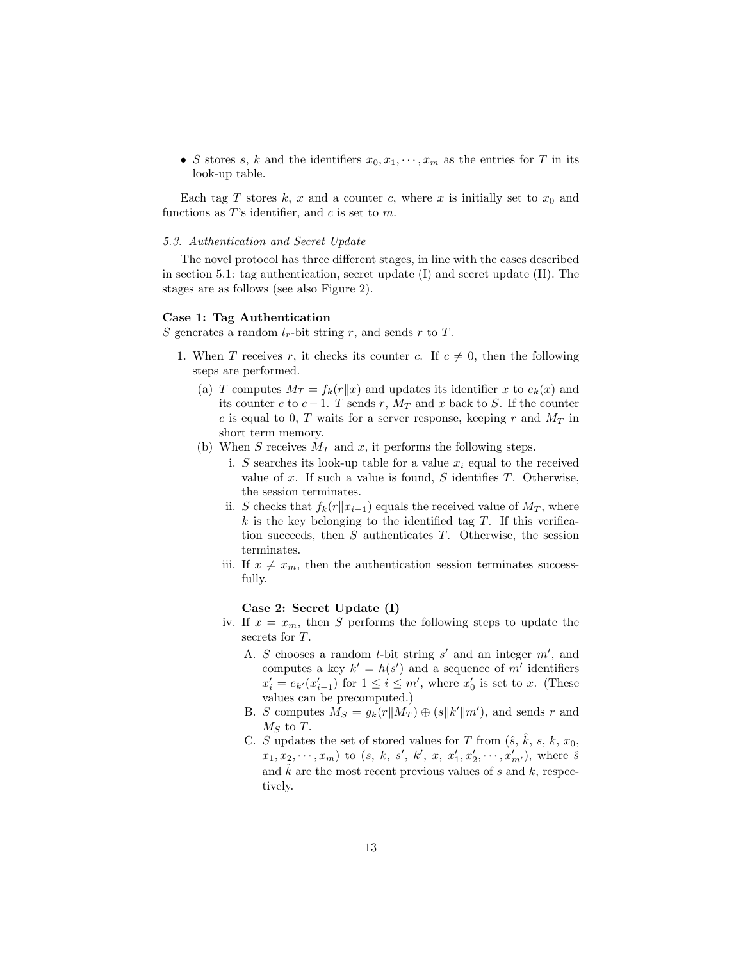• S stores s, k and the identifiers  $x_0, x_1, \dots, x_m$  as the entries for T in its look-up table.

Each tag T stores k, x and a counter c, where x is initially set to  $x_0$  and functions as  $T$ 's identifier, and  $c$  is set to  $m$ .

## 5.3. Authentication and Secret Update

The novel protocol has three different stages, in line with the cases described in section 5.1: tag authentication, secret update (I) and secret update (II). The stages are as follows (see also Figure 2).

#### Case 1: Tag Authentication

S generates a random  $l_r$ -bit string r, and sends r to T.

- 1. When T receives r, it checks its counter c. If  $c \neq 0$ , then the following steps are performed.
	- (a) T computes  $M_T = f_k(r||x)$  and updates its identifier x to  $e_k(x)$  and its counter c to  $c - 1$ . T sends r,  $M_T$  and x back to S. If the counter c is equal to 0, T waits for a server response, keeping r and  $M_T$  in short term memory.
	- (b) When S receives  $M_T$  and x, it performs the following steps.
		- i. S searches its look-up table for a value  $x_i$  equal to the received value of  $x$ . If such a value is found,  $S$  identifies  $T$ . Otherwise, the session terminates.
		- ii. S checks that  $f_k(r||x_{i-1})$  equals the received value of  $M_T$ , where  $k$  is the key belonging to the identified tag  $T$ . If this verification succeeds, then S authenticates T. Otherwise, the session terminates.
		- iii. If  $x \neq x_m$ , then the authentication session terminates successfully.

#### Case 2: Secret Update (I)

- iv. If  $x = x_m$ , then S performs the following steps to update the secrets for T.
	- A. S chooses a random *l*-bit string  $s'$  and an integer  $m'$ , and computes a key  $k' = h(s')$  and a sequence of m' identifiers  $x_i' = e_{k'}(x_{i-1}')$  for  $1 \leq i \leq m'$ , where  $x_0'$  is set to x. (These values can be precomputed.)
	- B. S computes  $M_S = g_k(r||M_T) \oplus (s||k'||m')$ , and sends r and  $M<sub>S</sub>$  to T.
	- C. S updates the set of stored values for T from  $(\hat{s}, \hat{k}, s, k, x_0,$  $x_1, x_2, \dots, x_m$ ) to  $(s, k, s', k', x, x'_1, x'_2, \dots, x'_{m'})$ , where  $\hat{s}$ and  $\hat{k}$  are the most recent previous values of s and  $k$ , respectively.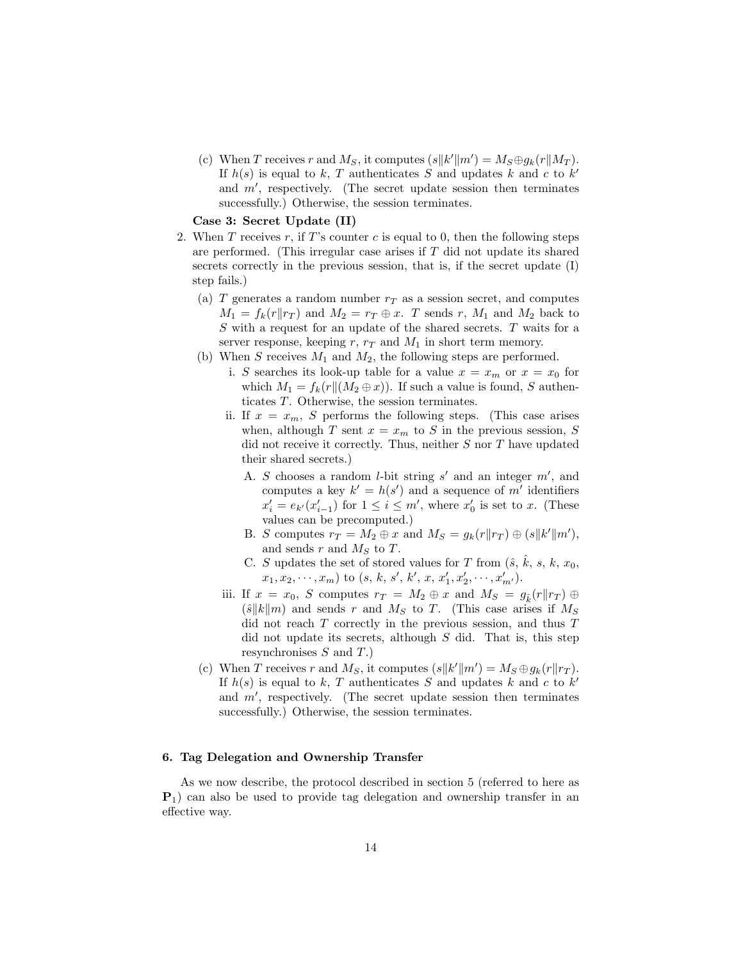(c) When T receives r and  $M_S$ , it computes  $(s||k'||m') = M_S \oplus g_k(r||M_T)$ . If  $h(s)$  is equal to k, T authenticates S and updates k and c to k' and  $m'$ , respectively. (The secret update session then terminates successfully.) Otherwise, the session terminates.

## Case 3: Secret Update (II)

- 2. When T receives r, if T's counter c is equal to 0, then the following steps are performed. (This irregular case arises if  $T$  did not update its shared secrets correctly in the previous session, that is, if the secret update (I) step fails.)
	- (a) T generates a random number  $r<sub>T</sub>$  as a session secret, and computes  $M_1 = f_k(r||r_T)$  and  $M_2 = r_T \oplus x$ . T sends r,  $M_1$  and  $M_2$  back to S with a request for an update of the shared secrets. T waits for a server response, keeping  $r, r<sub>T</sub>$  and  $M<sub>1</sub>$  in short term memory.
	- (b) When S receives  $M_1$  and  $M_2$ , the following steps are performed.
		- i. S searches its look-up table for a value  $x = x_m$  or  $x = x_0$  for which  $M_1 = f_k(r|| (M_2 \oplus x))$ . If such a value is found, S authenticates T. Otherwise, the session terminates.
		- ii. If  $x = x_m$ , S performs the following steps. (This case arises when, although T sent  $x = x_m$  to S in the previous session, S did not receive it correctly. Thus, neither S nor T have updated their shared secrets.)
			- A. S chooses a random *l*-bit string  $s'$  and an integer  $m'$ , and computes a key  $k' = h(s')$  and a sequence of m' identifiers  $x'_i = e_{k'}(x'_{i-1})$  for  $1 \leq i \leq m'$ , where  $x'_0$  is set to x. (These values can be precomputed.)
			- B. S computes  $r_T = M_2 \oplus x$  and  $M_S = g_k(r||r_T) \oplus (s||k'||m'),$ and sends r and  $M<sub>S</sub>$  to T.
			- C. S updates the set of stored values for T from  $(\hat{s}, \hat{k}, s, k, x_0,$  $x_1, x_2, \cdots, x_m)$  to  $(s, k, s', k', x, x'_1, x'_2, \cdots, x'_{m'})$ .
		- iii. If  $x = x_0$ , S computes  $r_T = M_2 \oplus x$  and  $M_S = g_k(r||r_T) \oplus$  $(\hat{s}||k||m)$  and sends r and  $M<sub>S</sub>$  to T. (This case arises if  $M<sub>S</sub>$ did not reach T correctly in the previous session, and thus T did not update its secrets, although  $S$  did. That is, this step resynchronises  $S$  and  $T$ .)
	- (c) When T receives r and  $M_S$ , it computes  $(s||k'||m') = M_S \oplus g_k(r||r_T)$ . If  $h(s)$  is equal to k, T authenticates S and updates k and c to k' and  $m'$ , respectively. (The secret update session then terminates successfully.) Otherwise, the session terminates.

#### 6. Tag Delegation and Ownership Transfer

As we now describe, the protocol described in section 5 (referred to here as  $\mathbf{P}_1$ ) can also be used to provide tag delegation and ownership transfer in an effective way.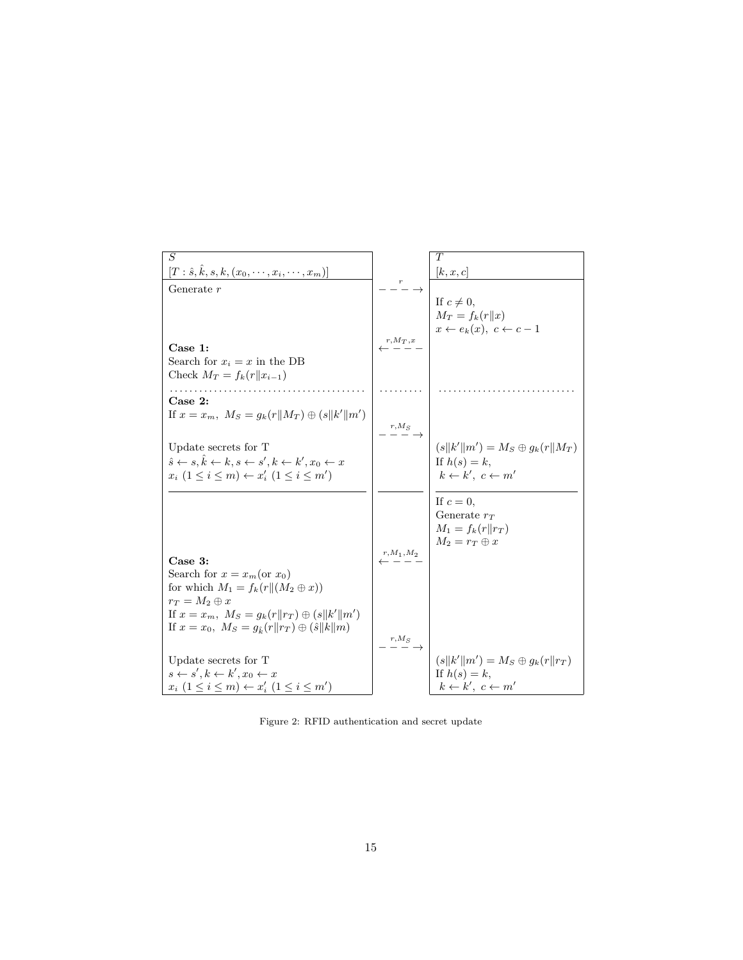

Figure 2: RFID authentication and secret update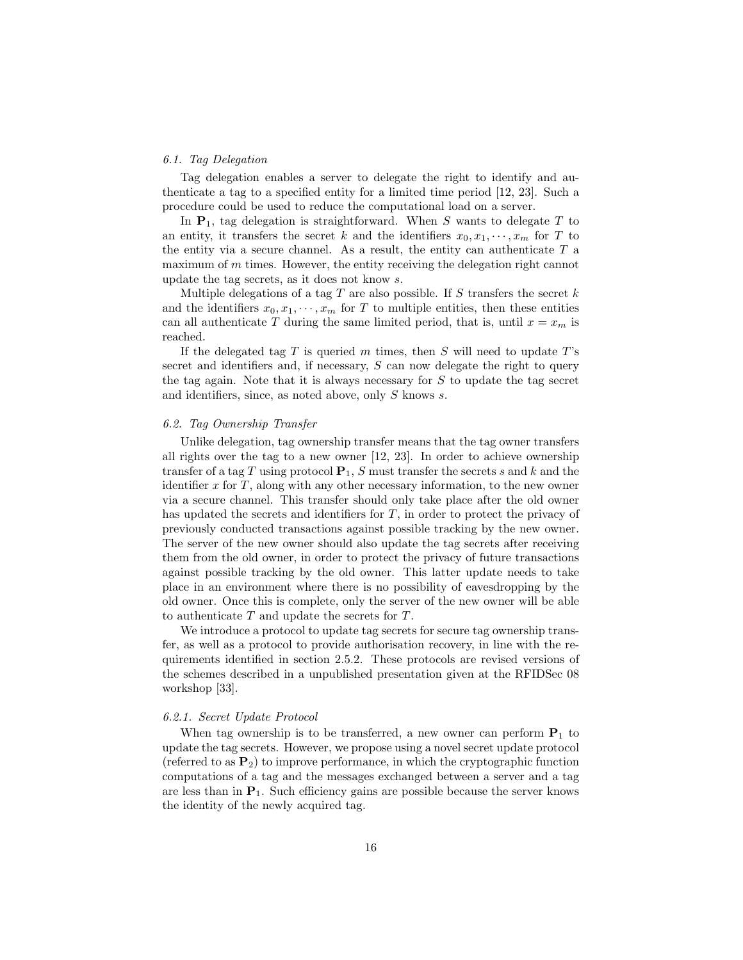## 6.1. Tag Delegation

Tag delegation enables a server to delegate the right to identify and authenticate a tag to a specified entity for a limited time period [12, 23]. Such a procedure could be used to reduce the computational load on a server.

In  $P_1$ , tag delegation is straightforward. When S wants to delegate T to an entity, it transfers the secret k and the identifiers  $x_0, x_1, \dots, x_m$  for T to the entity via a secure channel. As a result, the entity can authenticate  $T$  a maximum of  $m$  times. However, the entity receiving the delegation right cannot update the tag secrets, as it does not know s.

Multiple delegations of a tag  $T$  are also possible. If  $S$  transfers the secret  $k$ and the identifiers  $x_0, x_1, \dots, x_m$  for T to multiple entities, then these entities can all authenticate T during the same limited period, that is, until  $x = x_m$  is reached.

If the delegated tag  $T$  is queried  $m$  times, then  $S$  will need to update  $T$ 's secret and identifiers and, if necessary,  $S$  can now delegate the right to query the tag again. Note that it is always necessary for  $S$  to update the tag secret and identifiers, since, as noted above, only S knows s.

#### 6.2. Tag Ownership Transfer

Unlike delegation, tag ownership transfer means that the tag owner transfers all rights over the tag to a new owner [12, 23]. In order to achieve ownership transfer of a tag T using protocol  $P_1$ , S must transfer the secrets s and k and the identifier  $x$  for  $T$ , along with any other necessary information, to the new owner via a secure channel. This transfer should only take place after the old owner has updated the secrets and identifiers for  $T$ , in order to protect the privacy of previously conducted transactions against possible tracking by the new owner. The server of the new owner should also update the tag secrets after receiving them from the old owner, in order to protect the privacy of future transactions against possible tracking by the old owner. This latter update needs to take place in an environment where there is no possibility of eavesdropping by the old owner. Once this is complete, only the server of the new owner will be able to authenticate T and update the secrets for T.

We introduce a protocol to update tag secrets for secure tag ownership transfer, as well as a protocol to provide authorisation recovery, in line with the requirements identified in section 2.5.2. These protocols are revised versions of the schemes described in a unpublished presentation given at the RFIDSec 08 workshop [33].

#### 6.2.1. Secret Update Protocol

When tag ownership is to be transferred, a new owner can perform  $P_1$  to update the tag secrets. However, we propose using a novel secret update protocol (referred to as  $P_2$ ) to improve performance, in which the cryptographic function computations of a tag and the messages exchanged between a server and a tag are less than in  $P_1$ . Such efficiency gains are possible because the server knows the identity of the newly acquired tag.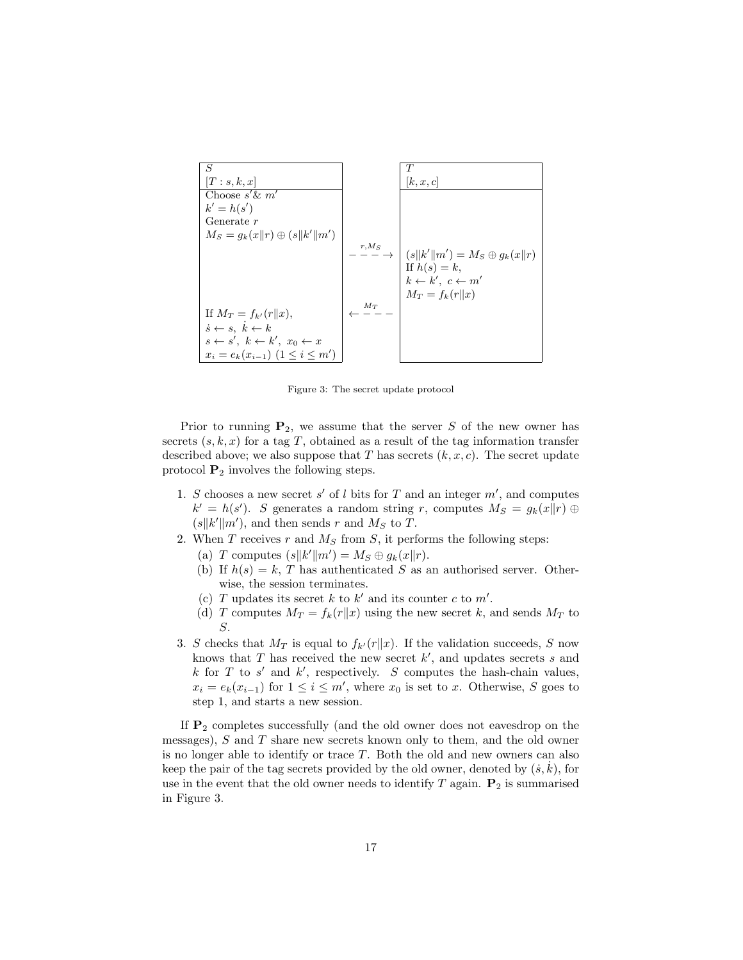

Figure 3: The secret update protocol

Prior to running  $P_2$ , we assume that the server S of the new owner has secrets  $(s, k, x)$  for a tag T, obtained as a result of the tag information transfer described above; we also suppose that T has secrets  $(k, x, c)$ . The secret update protocol  $P_2$  involves the following steps.

- 1. S chooses a new secret s' of l bits for T and an integer  $m'$ , and computes  $k' = h(s')$ . S generates a random string r, computes  $M_S = g_k(x||r) \oplus$  $(s||k'||m')$ , and then sends r and  $M_S$  to T.
- 2. When  $T$  receives  $r$  and  $M<sub>S</sub>$  from  $S$ , it performs the following steps:
	- (a) T computes  $(s||k'||m') = M_S \oplus g_k(x||r)$ .
	- (b) If  $h(s) = k$ , T has authenticated S as an authorised server. Otherwise, the session terminates.
	- (c) T updates its secret k to  $k'$  and its counter c to m'.
	- (d) T computes  $M_T = f_k(r||x)$  using the new secret k, and sends  $M_T$  to S.
- 3. S checks that  $M_T$  is equal to  $f_{k'}(r||x)$ . If the validation succeeds, S now knows that  $T$  has received the new secret  $k'$ , and updates secrets  $s$  and  $k$  for  $T$  to  $s'$  and  $k'$ , respectively.  $S$  computes the hash-chain values,  $x_i = e_k(x_{i-1})$  for  $1 \leq i \leq m'$ , where  $x_0$  is set to x. Otherwise, S goes to step 1, and starts a new session.

If  $P_2$  completes successfully (and the old owner does not eavesdrop on the messages), S and T share new secrets known only to them, and the old owner is no longer able to identify or trace T. Both the old and new owners can also keep the pair of the tag secrets provided by the old owner, denoted by  $(s, k)$ , for use in the event that the old owner needs to identify  $T$  again.  $P_2$  is summarised in Figure 3.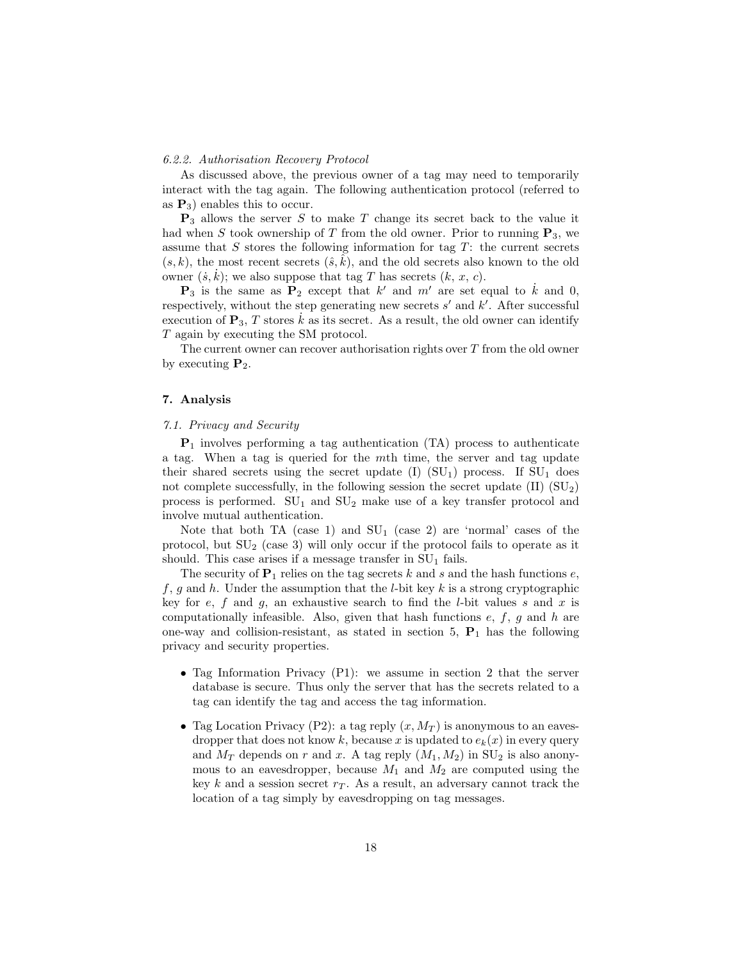#### 6.2.2. Authorisation Recovery Protocol

As discussed above, the previous owner of a tag may need to temporarily interact with the tag again. The following authentication protocol (referred to as  $P_3$ ) enables this to occur.

 $\mathbf{P}_3$  allows the server S to make T change its secret back to the value it had when S took ownership of T from the old owner. Prior to running  $P_3$ , we assume that S stores the following information for tag  $T$ : the current secrets  $(s, k)$ , the most recent secrets  $(\hat{s}, k)$ , and the old secrets also known to the old owner  $(\dot{s}, k)$ ; we also suppose that tag T has secrets  $(k, x, c)$ .

 $\mathbf{P}_3$  is the same as  $\mathbf{P}_2$  except that k' and m' are set equal to  $\dot{k}$  and 0, respectively, without the step generating new secrets  $s'$  and  $k'$ . After successful execution of  $P_3$ , T stores  $\vec{k}$  as its secret. As a result, the old owner can identify T again by executing the SM protocol.

The current owner can recover authorisation rights over  $T$  from the old owner by executing  $P_2$ .

## 7. Analysis

### 7.1. Privacy and Security

 $P_1$  involves performing a tag authentication (TA) process to authenticate a tag. When a tag is queried for the mth time, the server and tag update their shared secrets using the secret update  $(I)$   $(SU_1)$  process. If  $SU_1$  does not complete successfully, in the following session the secret update  $(II)$   $(SU<sub>2</sub>)$ process is performed.  $SU_1$  and  $SU_2$  make use of a key transfer protocol and involve mutual authentication.

Note that both TA (case 1) and  $SU_1$  (case 2) are 'normal' cases of the protocol, but  $SU_2$  (case 3) will only occur if the protocol fails to operate as it should. This case arises if a message transfer in  $SU_1$  fails.

The security of  $P_1$  relies on the tag secrets k and s and the hash functions e, f, g and h. Under the assumption that the l-bit key k is a strong cryptographic key for e, f and g, an exhaustive search to find the l-bit values s and x is computationally infeasible. Also, given that hash functions  $e, f, g$  and h are one-way and collision-resistant, as stated in section 5,  $P_1$  has the following privacy and security properties.

- Tag Information Privacy (P1): we assume in section 2 that the server database is secure. Thus only the server that has the secrets related to a tag can identify the tag and access the tag information.
- Tag Location Privacy (P2): a tag reply  $(x, M_T)$  is anonymous to an eavesdropper that does not know k, because x is updated to  $e_k(x)$  in every query and  $M_T$  depends on r and x. A tag reply  $(M_1, M_2)$  in  $SU_2$  is also anonymous to an eavesdropper, because  $M_1$  and  $M_2$  are computed using the key k and a session secret  $r<sub>T</sub>$ . As a result, an adversary cannot track the location of a tag simply by eavesdropping on tag messages.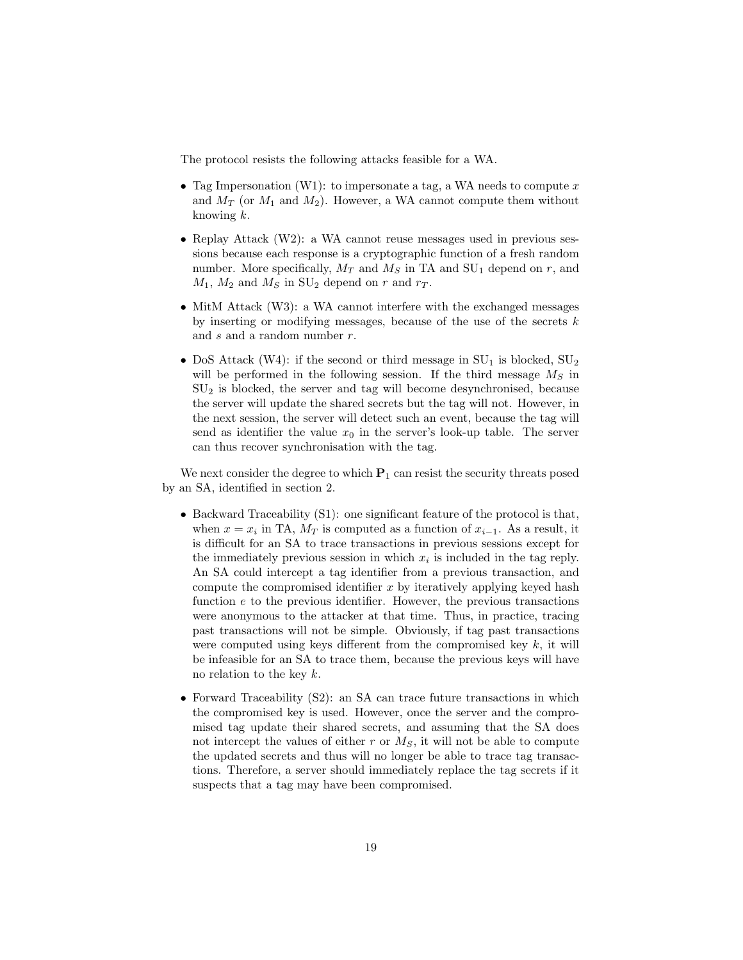The protocol resists the following attacks feasible for a WA.

- Tag Impersonation (W1): to impersonate a tag, a WA needs to compute  $x$ and  $M_T$  (or  $M_1$  and  $M_2$ ). However, a WA cannot compute them without knowing k.
- Replay Attack (W2): a WA cannot reuse messages used in previous sessions because each response is a cryptographic function of a fresh random number. More specifically,  $M_T$  and  $M_S$  in TA and SU<sub>1</sub> depend on r, and  $M_1$ ,  $M_2$  and  $M_S$  in SU<sub>2</sub> depend on r and  $r_T$ .
- MitM Attack (W3): a WA cannot interfere with the exchanged messages by inserting or modifying messages, because of the use of the secrets  $k$ and s and a random number r.
- DoS Attack (W4): if the second or third message in  $SU_1$  is blocked,  $SU_2$ will be performed in the following session. If the third message  $M<sub>S</sub>$  in  $SU<sub>2</sub>$  is blocked, the server and tag will become desynchronised, because the server will update the shared secrets but the tag will not. However, in the next session, the server will detect such an event, because the tag will send as identifier the value  $x_0$  in the server's look-up table. The server can thus recover synchronisation with the tag.

We next consider the degree to which  $P_1$  can resist the security threats posed by an SA, identified in section 2.

- Backward Traceability (S1): one significant feature of the protocol is that, when  $x = x_i$  in TA,  $M_T$  is computed as a function of  $x_{i-1}$ . As a result, it is difficult for an SA to trace transactions in previous sessions except for the immediately previous session in which  $x_i$  is included in the tag reply. An SA could intercept a tag identifier from a previous transaction, and compute the compromised identifier  $x$  by iteratively applying keyed hash function  $e$  to the previous identifier. However, the previous transactions were anonymous to the attacker at that time. Thus, in practice, tracing past transactions will not be simple. Obviously, if tag past transactions were computed using keys different from the compromised key  $k$ , it will be infeasible for an SA to trace them, because the previous keys will have no relation to the key  $k$ .
- Forward Traceability (S2): an SA can trace future transactions in which the compromised key is used. However, once the server and the compromised tag update their shared secrets, and assuming that the SA does not intercept the values of either  $r$  or  $M_S$ , it will not be able to compute the updated secrets and thus will no longer be able to trace tag transactions. Therefore, a server should immediately replace the tag secrets if it suspects that a tag may have been compromised.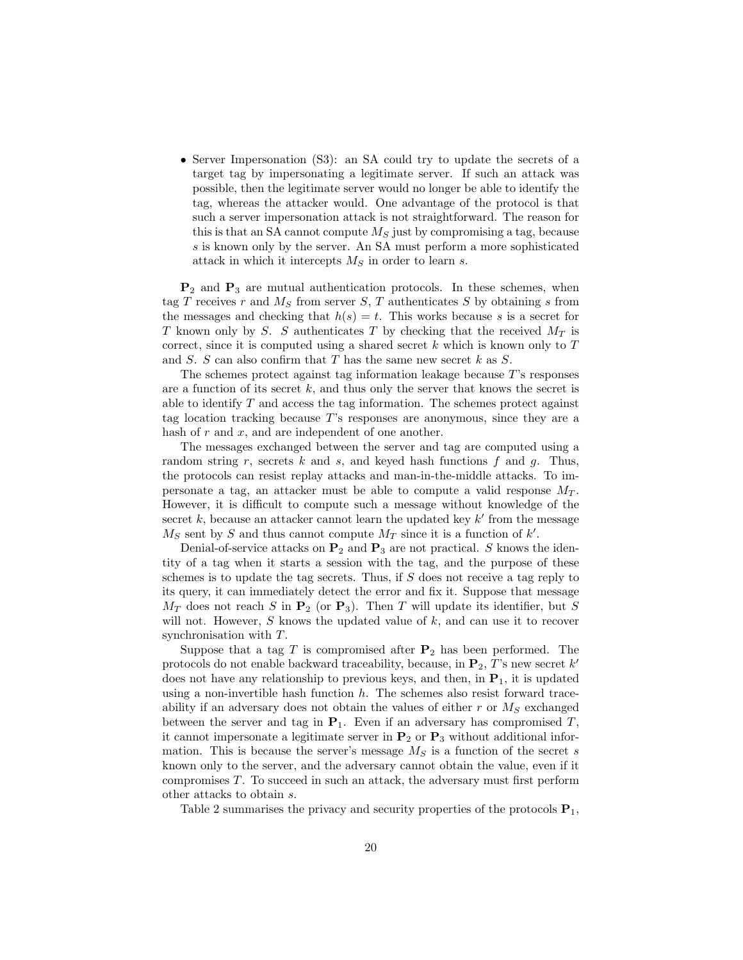• Server Impersonation (S3): an SA could try to update the secrets of a target tag by impersonating a legitimate server. If such an attack was possible, then the legitimate server would no longer be able to identify the tag, whereas the attacker would. One advantage of the protocol is that such a server impersonation attack is not straightforward. The reason for this is that an SA cannot compute  $M<sub>S</sub>$  just by compromising a tag, because s is known only by the server. An SA must perform a more sophisticated attack in which it intercepts  $M<sub>S</sub>$  in order to learn s.

 $P_2$  and  $P_3$  are mutual authentication protocols. In these schemes, when tag T receives r and  $M<sub>S</sub>$  from server S, T authenticates S by obtaining s from the messages and checking that  $h(s) = t$ . This works because s is a secret for T known only by S. S authenticates T by checking that the received  $M_T$  is correct, since it is computed using a shared secret  $k$  which is known only to  $T$ and  $S$ .  $S$  can also confirm that  $T$  has the same new secret  $k$  as  $S$ .

The schemes protect against tag information leakage because T's responses are a function of its secret  $k$ , and thus only the server that knows the secret is able to identify  $T$  and access the tag information. The schemes protect against tag location tracking because T's responses are anonymous, since they are a hash of  $r$  and  $x$ , and are independent of one another.

The messages exchanged between the server and tag are computed using a random string r, secrets k and s, and keyed hash functions f and q. Thus, the protocols can resist replay attacks and man-in-the-middle attacks. To impersonate a tag, an attacker must be able to compute a valid response  $M_T$ . However, it is difficult to compute such a message without knowledge of the secret  $k$ , because an attacker cannot learn the updated key  $k'$  from the message  $M_S$  sent by S and thus cannot compute  $M_T$  since it is a function of k'.

Denial-of-service attacks on  $P_2$  and  $P_3$  are not practical. S knows the identity of a tag when it starts a session with the tag, and the purpose of these schemes is to update the tag secrets. Thus, if S does not receive a tag reply to its query, it can immediately detect the error and fix it. Suppose that message  $M_T$  does not reach S in  $P_2$  (or  $P_3$ ). Then T will update its identifier, but S will not. However,  $S$  knows the updated value of  $k$ , and can use it to recover synchronisation with T.

Suppose that a tag T is compromised after  $P_2$  has been performed. The protocols do not enable backward traceability, because, in  $P_2$ , T's new secret  $k'$ does not have any relationship to previous keys, and then, in  $P_1$ , it is updated using a non-invertible hash function  $h$ . The schemes also resist forward traceability if an adversary does not obtain the values of either  $r$  or  $M<sub>S</sub>$  exchanged between the server and tag in  $P_1$ . Even if an adversary has compromised T, it cannot impersonate a legitimate server in  $P_2$  or  $P_3$  without additional information. This is because the server's message  $M<sub>S</sub>$  is a function of the secret s known only to the server, and the adversary cannot obtain the value, even if it compromises T. To succeed in such an attack, the adversary must first perform other attacks to obtain s.

Table 2 summarises the privacy and security properties of the protocols  $P_1$ ,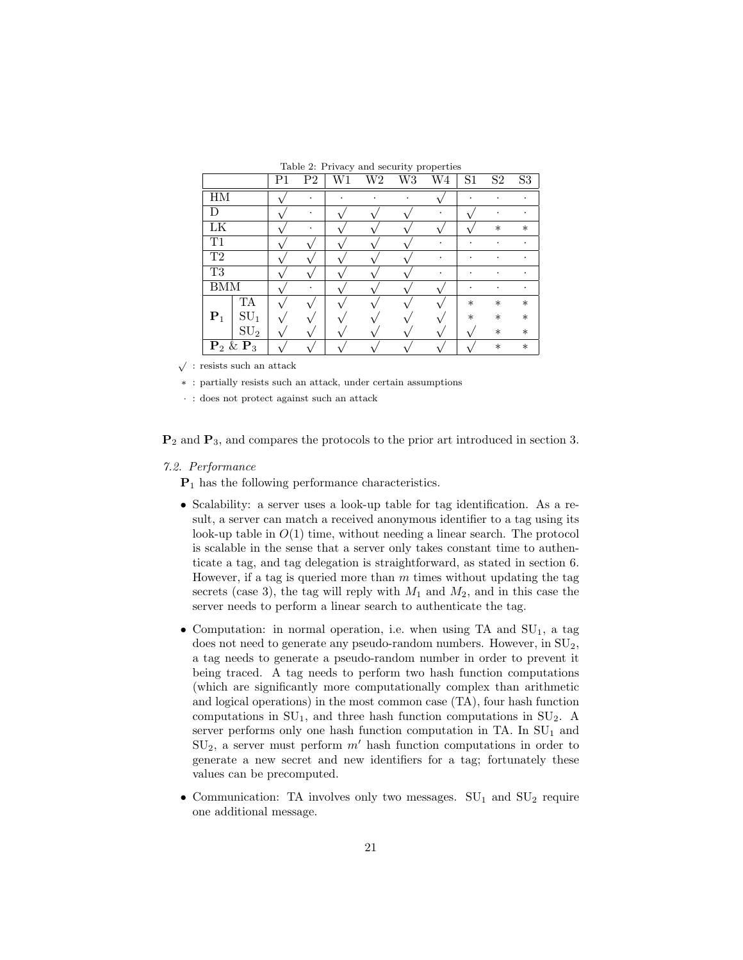Table 2: Privacy and security properties

|                         |                 | P1 | P <sub>2</sub> | $\cdot$<br>W1 | W2 | $\cdot$<br>$\overline{ }$<br>W3 | W4 | S <sub>1</sub> | S <sub>2</sub> | S <sub>3</sub> |
|-------------------------|-----------------|----|----------------|---------------|----|---------------------------------|----|----------------|----------------|----------------|
| HM                      |                 |    | $\bullet$      |               |    |                                 |    |                |                |                |
| Ð                       |                 |    | $\bullet$      |               |    |                                 |    |                |                |                |
| LK                      |                 |    | $\bullet$      |               |    |                                 |    |                | $\ast$         | $\ast$         |
| T1                      |                 |    |                |               |    |                                 |    |                |                |                |
| $\rm{T}2$               |                 |    |                |               |    |                                 |    |                |                |                |
| $\rm{T}3$               |                 |    |                |               |    |                                 | ٠  |                |                | ٠              |
| <b>BMM</b>              |                 |    | $\bullet$      |               |    |                                 |    | ٠              |                |                |
|                         | TA              |    |                |               |    |                                 |    | $\ast$         | $\ast$         | $\ast$         |
| $P_1$                   | $SU_1$          |    |                |               |    |                                 |    | $\ast$         | $\ast$         | $\ast$         |
|                         | $\mathrm{SU}_2$ |    |                |               |    |                                 |    |                | $\ast$         | $\ast$         |
| $\overline{P_2 \& P_3}$ |                 |    |                |               |    |                                 |    |                | $\ast$         | $\ast$         |

 $\sqrt{\phantom{a}}$  : resists such an attack

∗ : partially resists such an attack, under certain assumptions

 $\cdot\,$  : does not protect against such an attack

 $\mathbf{P}_2$  and  $\mathbf{P}_3$ , and compares the protocols to the prior art introduced in section 3.

# 7.2. Performance

 $P_1$  has the following performance characteristics.

- Scalability: a server uses a look-up table for tag identification. As a result, a server can match a received anonymous identifier to a tag using its look-up table in  $O(1)$  time, without needing a linear search. The protocol is scalable in the sense that a server only takes constant time to authenticate a tag, and tag delegation is straightforward, as stated in section 6. However, if a tag is queried more than  $m$  times without updating the tag secrets (case 3), the tag will reply with  $M_1$  and  $M_2$ , and in this case the server needs to perform a linear search to authenticate the tag.
- Computation: in normal operation, i.e. when using TA and  $SU_1$ , a tag does not need to generate any pseudo-random numbers. However, in  $SU_2$ , a tag needs to generate a pseudo-random number in order to prevent it being traced. A tag needs to perform two hash function computations (which are significantly more computationally complex than arithmetic and logical operations) in the most common case (TA), four hash function computations in  $SU_1$ , and three hash function computations in  $SU_2$ . A server performs only one hash function computation in TA. In  $SU_1$  and  $SU_2$ , a server must perform m' hash function computations in order to generate a new secret and new identifiers for a tag; fortunately these values can be precomputed.
- Communication: TA involves only two messages.  $SU_1$  and  $SU_2$  require one additional message.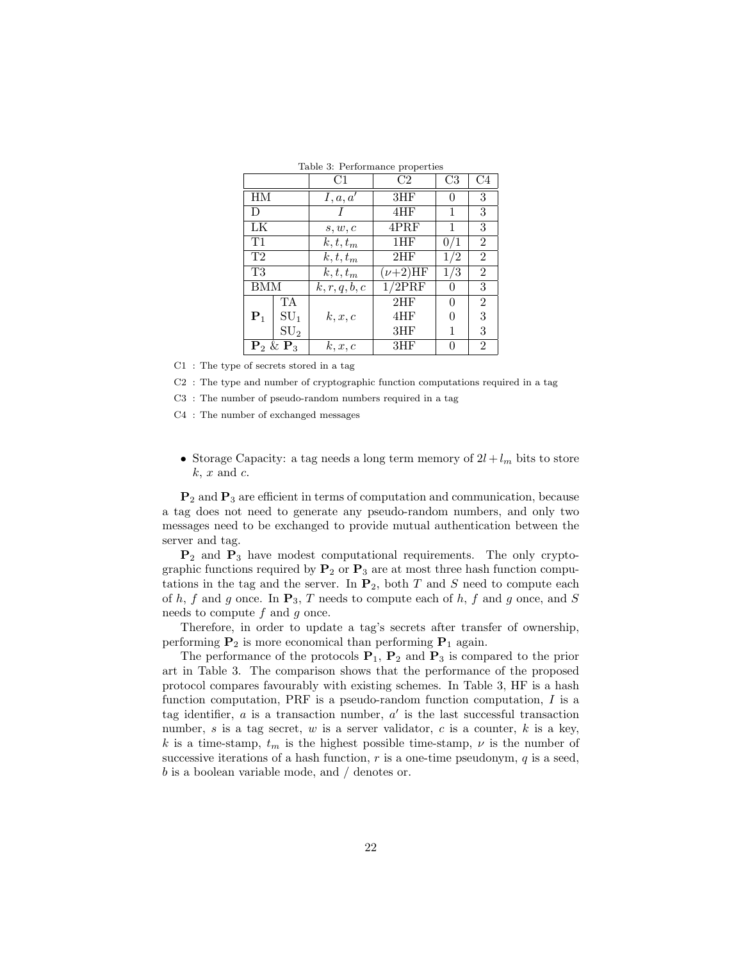|                | Table 3: Performance properties |               |             |          |                |  |  |  |
|----------------|---------------------------------|---------------|-------------|----------|----------------|--|--|--|
|                |                                 | C1            | C2          | C3       | C4             |  |  |  |
| HM             |                                 | I, a, a'      | 3HF         | $\theta$ | 3              |  |  |  |
| D              |                                 |               | 4HF         |          | 3              |  |  |  |
| LK             |                                 | s, w, c       | 4PRF        |          | 3              |  |  |  |
| T1             |                                 | $k,t,t_m$     | 1HF         |          | $\overline{2}$ |  |  |  |
| T <sub>2</sub> |                                 | $k,t,t_m$     | 2HF         | 1/2      | $\overline{2}$ |  |  |  |
| T <sub>3</sub> |                                 | $k,t,t_m$     | $(\nu+2)HF$ | 1/3      | $\overline{2}$ |  |  |  |
| BMM            |                                 | k, r, q, b, c | 1/2PRF      |          | 3              |  |  |  |
|                | TA                              |               | 2HF         |          | $\overline{2}$ |  |  |  |
| $P_1$          | $SU_1$                          | k, x, c       | 4HF         |          | 3              |  |  |  |
|                | $\mathrm{SU}_2$                 |               | 3HF         |          | 3              |  |  |  |
|                | $P_2$ & $P_3$                   | k, x, c       | 3HF         |          | $\overline{2}$ |  |  |  |

Table 3: Performance properties

C1 : The type of secrets stored in a tag

C2 : The type and number of cryptographic function computations required in a tag

- C3 : The number of pseudo-random numbers required in a tag
- C4 : The number of exchanged messages
- Storage Capacity: a tag needs a long term memory of  $2l + l_m$  bits to store  $k, x$  and  $c$ .

 $P_2$  and  $P_3$  are efficient in terms of computation and communication, because a tag does not need to generate any pseudo-random numbers, and only two messages need to be exchanged to provide mutual authentication between the server and tag.

 $P_2$  and  $P_3$  have modest computational requirements. The only cryptographic functions required by  $P_2$  or  $P_3$  are at most three hash function computations in the tag and the server. In  $\mathbf{P}_2$ , both T and S need to compute each of h, f and g once. In  $\mathbf{P}_3$ , T needs to compute each of h, f and g once, and S needs to compute  $f$  and  $g$  once.

Therefore, in order to update a tag's secrets after transfer of ownership, performing  $P_2$  is more economical than performing  $P_1$  again.

The performance of the protocols  $P_1$ ,  $P_2$  and  $P_3$  is compared to the prior art in Table 3. The comparison shows that the performance of the proposed protocol compares favourably with existing schemes. In Table 3, HF is a hash function computation, PRF is a pseudo-random function computation,  $I$  is a tag identifier,  $a$  is a transaction number,  $a'$  is the last successful transaction number, s is a tag secret, w is a server validator, c is a counter, k is a key, k is a time-stamp,  $t_m$  is the highest possible time-stamp,  $\nu$  is the number of successive iterations of a hash function,  $r$  is a one-time pseudonym,  $q$  is a seed, b is a boolean variable mode, and / denotes or.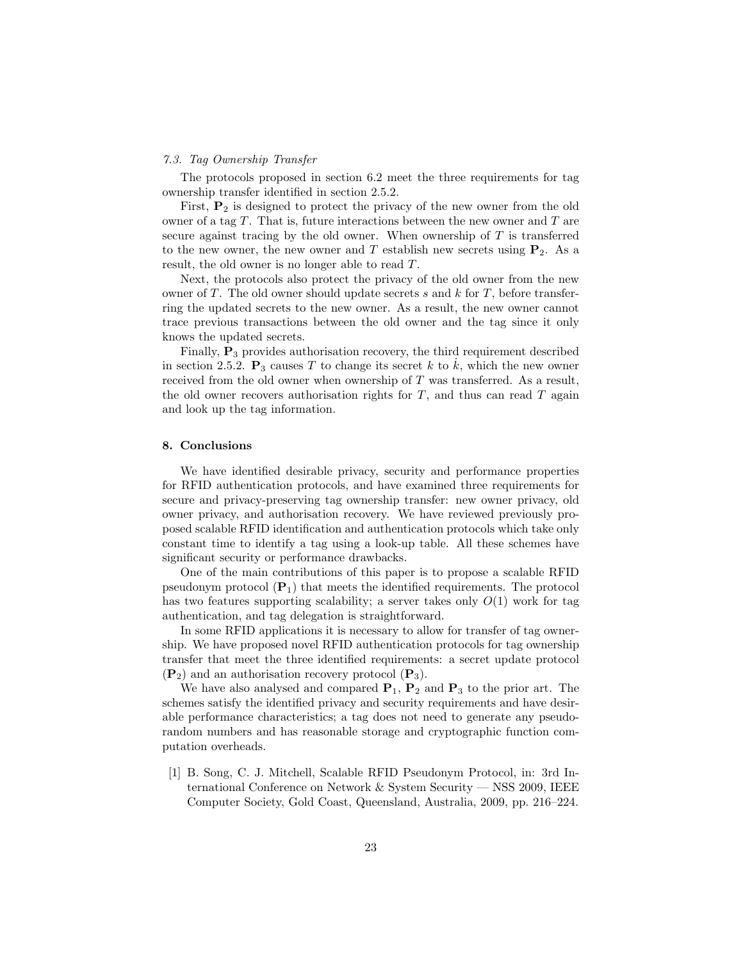## 7.3. Tag Ownership Transfer

The protocols proposed in section 6.2 meet the three requirements for tag ownership transfer identified in section 2.5.2.

First,  $P_2$  is designed to protect the privacy of the new owner from the old owner of a tag  $T$ . That is, future interactions between the new owner and  $T$  are secure against tracing by the old owner. When ownership of T is transferred to the new owner, the new owner and T establish new secrets using  $P_2$ . As a result, the old owner is no longer able to read T.

Next, the protocols also protect the privacy of the old owner from the new owner of  $T$ . The old owner should update secrets  $s$  and  $k$  for  $T$ , before transferring the updated secrets to the new owner. As a result, the new owner cannot trace previous transactions between the old owner and the tag since it only knows the updated secrets.

Finally,  $P_3$  provides authorisation recovery, the third requirement described in section 2.5.2.  $\mathbf{P}_3$  causes T to change its secret k to k, which the new owner received from the old owner when ownership of T was transferred. As a result, the old owner recovers authorisation rights for  $T$ , and thus can read  $T$  again and look up the tag information.

## 8. Conclusions

We have identified desirable privacy, security and performance properties for RFID authentication protocols, and have examined three requirements for secure and privacy-preserving tag ownership transfer: new owner privacy, old owner privacy, and authorisation recovery. We have reviewed previously proposed scalable RFID identification and authentication protocols which take only constant time to identify a tag using a look-up table. All these schemes have significant security or performance drawbacks.

One of the main contributions of this paper is to propose a scalable RFID pseudonym protocol  $(\mathbf{P}_1)$  that meets the identified requirements. The protocol has two features supporting scalability; a server takes only  $O(1)$  work for tag authentication, and tag delegation is straightforward.

In some RFID applications it is necessary to allow for transfer of tag ownership. We have proposed novel RFID authentication protocols for tag ownership transfer that meet the three identified requirements: a secret update protocol  $(\mathbf{P}_2)$  and an authorisation recovery protocol  $(\mathbf{P}_3)$ .

We have also analysed and compared  $P_1$ ,  $P_2$  and  $P_3$  to the prior art. The schemes satisfy the identified privacy and security requirements and have desirable performance characteristics; a tag does not need to generate any pseudorandom numbers and has reasonable storage and cryptographic function computation overheads.

[1] B. Song, C. J. Mitchell, Scalable RFID Pseudonym Protocol, in: 3rd International Conference on Network & System Security — NSS 2009, IEEE Computer Society, Gold Coast, Queensland, Australia, 2009, pp. 216–224.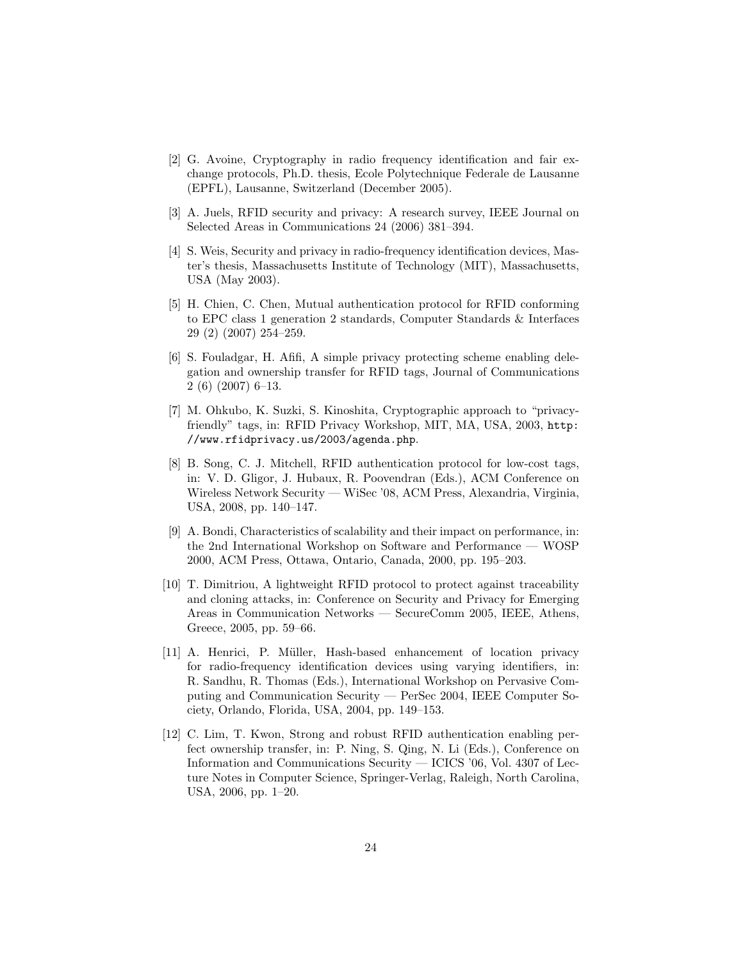- [2] G. Avoine, Cryptography in radio frequency identification and fair exchange protocols, Ph.D. thesis, Ecole Polytechnique Federale de Lausanne (EPFL), Lausanne, Switzerland (December 2005).
- [3] A. Juels, RFID security and privacy: A research survey, IEEE Journal on Selected Areas in Communications 24 (2006) 381–394.
- [4] S. Weis, Security and privacy in radio-frequency identification devices, Master's thesis, Massachusetts Institute of Technology (MIT), Massachusetts, USA (May 2003).
- [5] H. Chien, C. Chen, Mutual authentication protocol for RFID conforming to EPC class 1 generation 2 standards, Computer Standards & Interfaces 29 (2) (2007) 254–259.
- [6] S. Fouladgar, H. Afifi, A simple privacy protecting scheme enabling delegation and ownership transfer for RFID tags, Journal of Communications 2 (6) (2007) 6–13.
- [7] M. Ohkubo, K. Suzki, S. Kinoshita, Cryptographic approach to "privacyfriendly" tags, in: RFID Privacy Workshop, MIT, MA, USA, 2003, http: //www.rfidprivacy.us/2003/agenda.php.
- [8] B. Song, C. J. Mitchell, RFID authentication protocol for low-cost tags, in: V. D. Gligor, J. Hubaux, R. Poovendran (Eds.), ACM Conference on Wireless Network Security — WiSec '08, ACM Press, Alexandria, Virginia, USA, 2008, pp. 140–147.
- [9] A. Bondi, Characteristics of scalability and their impact on performance, in: the 2nd International Workshop on Software and Performance — WOSP 2000, ACM Press, Ottawa, Ontario, Canada, 2000, pp. 195–203.
- [10] T. Dimitriou, A lightweight RFID protocol to protect against traceability and cloning attacks, in: Conference on Security and Privacy for Emerging Areas in Communication Networks — SecureComm 2005, IEEE, Athens, Greece, 2005, pp. 59–66.
- [11] A. Henrici, P. M¨uller, Hash-based enhancement of location privacy for radio-frequency identification devices using varying identifiers, in: R. Sandhu, R. Thomas (Eds.), International Workshop on Pervasive Computing and Communication Security — PerSec 2004, IEEE Computer Society, Orlando, Florida, USA, 2004, pp. 149–153.
- [12] C. Lim, T. Kwon, Strong and robust RFID authentication enabling perfect ownership transfer, in: P. Ning, S. Qing, N. Li (Eds.), Conference on Information and Communications Security — ICICS '06, Vol. 4307 of Lecture Notes in Computer Science, Springer-Verlag, Raleigh, North Carolina, USA, 2006, pp. 1–20.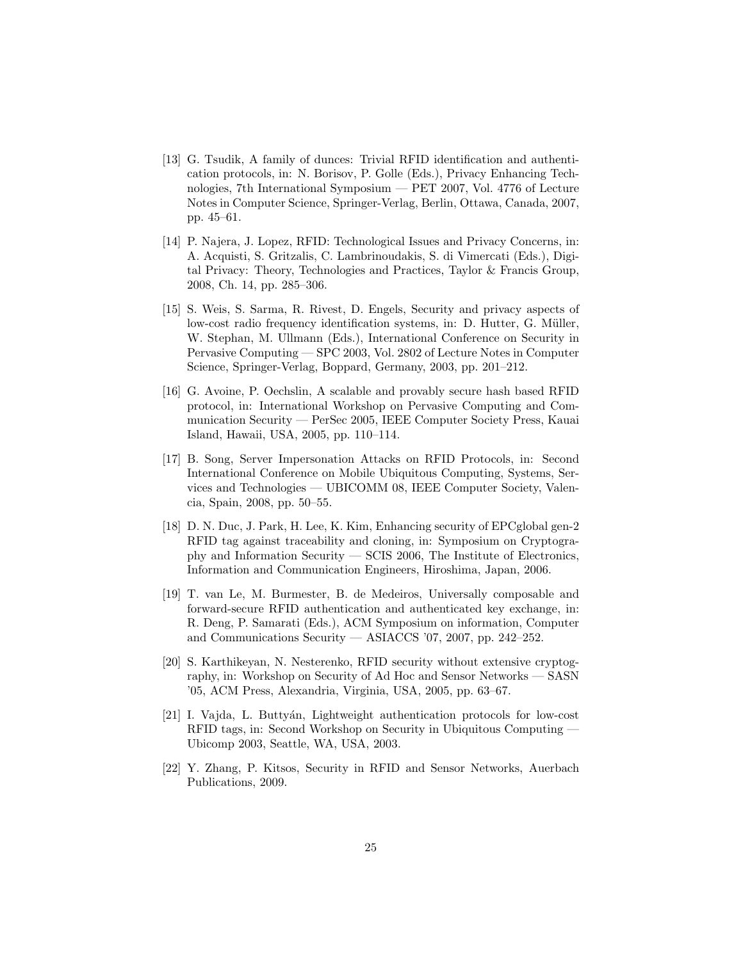- [13] G. Tsudik, A family of dunces: Trivial RFID identification and authentication protocols, in: N. Borisov, P. Golle (Eds.), Privacy Enhancing Technologies, 7th International Symposium — PET 2007, Vol. 4776 of Lecture Notes in Computer Science, Springer-Verlag, Berlin, Ottawa, Canada, 2007, pp. 45–61.
- [14] P. Najera, J. Lopez, RFID: Technological Issues and Privacy Concerns, in: A. Acquisti, S. Gritzalis, C. Lambrinoudakis, S. di Vimercati (Eds.), Digital Privacy: Theory, Technologies and Practices, Taylor & Francis Group, 2008, Ch. 14, pp. 285–306.
- [15] S. Weis, S. Sarma, R. Rivest, D. Engels, Security and privacy aspects of low-cost radio frequency identification systems, in: D. Hutter, G. Müller, W. Stephan, M. Ullmann (Eds.), International Conference on Security in Pervasive Computing — SPC 2003, Vol. 2802 of Lecture Notes in Computer Science, Springer-Verlag, Boppard, Germany, 2003, pp. 201–212.
- [16] G. Avoine, P. Oechslin, A scalable and provably secure hash based RFID protocol, in: International Workshop on Pervasive Computing and Communication Security — PerSec 2005, IEEE Computer Society Press, Kauai Island, Hawaii, USA, 2005, pp. 110–114.
- [17] B. Song, Server Impersonation Attacks on RFID Protocols, in: Second International Conference on Mobile Ubiquitous Computing, Systems, Services and Technologies — UBICOMM 08, IEEE Computer Society, Valencia, Spain, 2008, pp. 50–55.
- [18] D. N. Duc, J. Park, H. Lee, K. Kim, Enhancing security of EPCglobal gen-2 RFID tag against traceability and cloning, in: Symposium on Cryptography and Information Security  $-$  SCIS 2006, The Institute of Electronics, Information and Communication Engineers, Hiroshima, Japan, 2006.
- [19] T. van Le, M. Burmester, B. de Medeiros, Universally composable and forward-secure RFID authentication and authenticated key exchange, in: R. Deng, P. Samarati (Eds.), ACM Symposium on information, Computer and Communications Security — ASIACCS '07, 2007, pp. 242–252.
- [20] S. Karthikeyan, N. Nesterenko, RFID security without extensive cryptography, in: Workshop on Security of Ad Hoc and Sensor Networks — SASN '05, ACM Press, Alexandria, Virginia, USA, 2005, pp. 63–67.
- [21] I. Vajda, L. Butty´an, Lightweight authentication protocols for low-cost RFID tags, in: Second Workshop on Security in Ubiquitous Computing — Ubicomp 2003, Seattle, WA, USA, 2003.
- [22] Y. Zhang, P. Kitsos, Security in RFID and Sensor Networks, Auerbach Publications, 2009.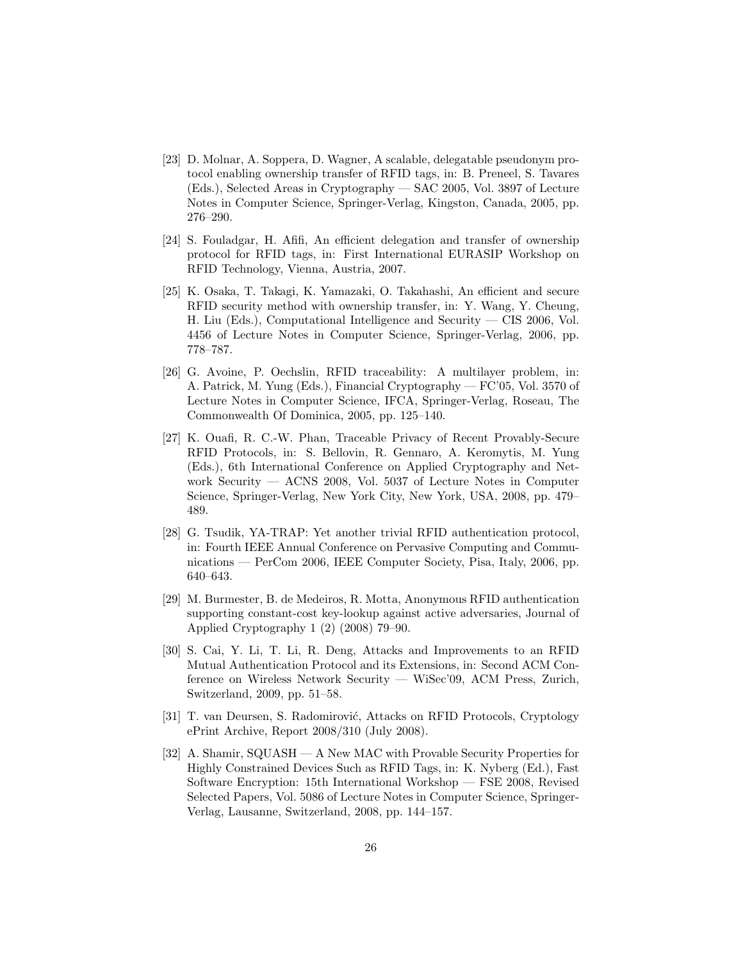- [23] D. Molnar, A. Soppera, D. Wagner, A scalable, delegatable pseudonym protocol enabling ownership transfer of RFID tags, in: B. Preneel, S. Tavares (Eds.), Selected Areas in Cryptography — SAC 2005, Vol. 3897 of Lecture Notes in Computer Science, Springer-Verlag, Kingston, Canada, 2005, pp. 276–290.
- [24] S. Fouladgar, H. Afifi, An efficient delegation and transfer of ownership protocol for RFID tags, in: First International EURASIP Workshop on RFID Technology, Vienna, Austria, 2007.
- [25] K. Osaka, T. Takagi, K. Yamazaki, O. Takahashi, An efficient and secure RFID security method with ownership transfer, in: Y. Wang, Y. Cheung, H. Liu (Eds.), Computational Intelligence and Security — CIS 2006, Vol. 4456 of Lecture Notes in Computer Science, Springer-Verlag, 2006, pp. 778–787.
- [26] G. Avoine, P. Oechslin, RFID traceability: A multilayer problem, in: A. Patrick, M. Yung (Eds.), Financial Cryptography — FC'05, Vol. 3570 of Lecture Notes in Computer Science, IFCA, Springer-Verlag, Roseau, The Commonwealth Of Dominica, 2005, pp. 125–140.
- [27] K. Ouafi, R. C.-W. Phan, Traceable Privacy of Recent Provably-Secure RFID Protocols, in: S. Bellovin, R. Gennaro, A. Keromytis, M. Yung (Eds.), 6th International Conference on Applied Cryptography and Network Security — ACNS 2008, Vol. 5037 of Lecture Notes in Computer Science, Springer-Verlag, New York City, New York, USA, 2008, pp. 479– 489.
- [28] G. Tsudik, YA-TRAP: Yet another trivial RFID authentication protocol, in: Fourth IEEE Annual Conference on Pervasive Computing and Communications — PerCom 2006, IEEE Computer Society, Pisa, Italy, 2006, pp. 640–643.
- [29] M. Burmester, B. de Medeiros, R. Motta, Anonymous RFID authentication supporting constant-cost key-lookup against active adversaries, Journal of Applied Cryptography 1 (2) (2008) 79–90.
- [30] S. Cai, Y. Li, T. Li, R. Deng, Attacks and Improvements to an RFID Mutual Authentication Protocol and its Extensions, in: Second ACM Conference on Wireless Network Security — WiSec'09, ACM Press, Zurich, Switzerland, 2009, pp. 51–58.
- [31] T. van Deursen, S. Radomirović, Attacks on RFID Protocols, Cryptology ePrint Archive, Report 2008/310 (July 2008).
- [32] A. Shamir, SQUASH A New MAC with Provable Security Properties for Highly Constrained Devices Such as RFID Tags, in: K. Nyberg (Ed.), Fast Software Encryption: 15th International Workshop — FSE 2008, Revised Selected Papers, Vol. 5086 of Lecture Notes in Computer Science, Springer-Verlag, Lausanne, Switzerland, 2008, pp. 144–157.